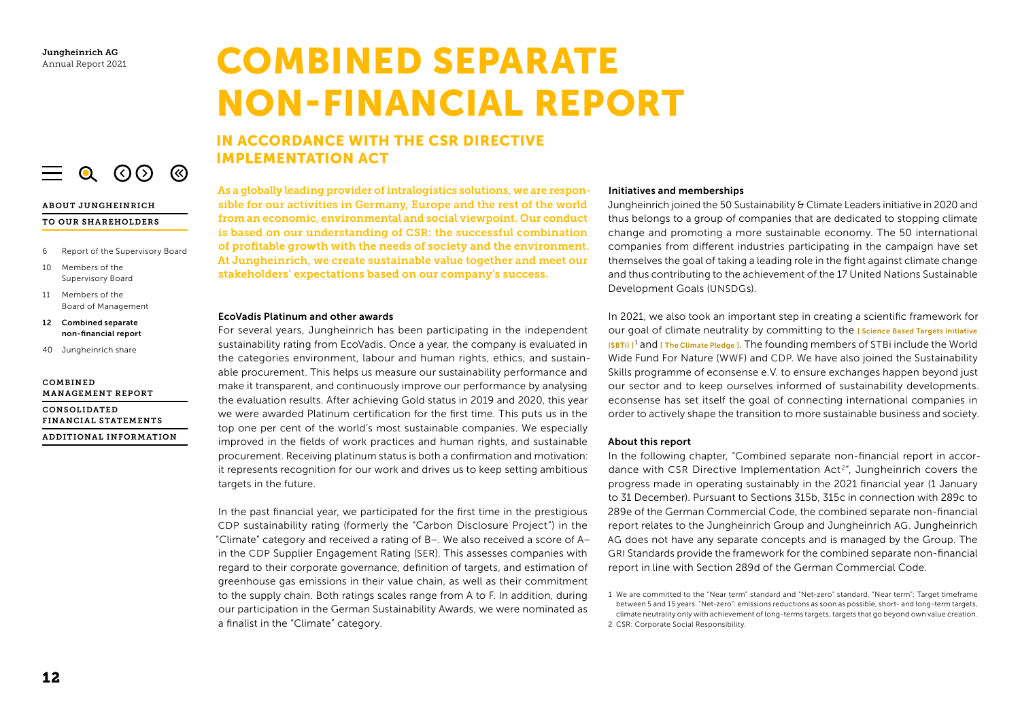# COMBINED SEPARATE NON-FINANCIAL REPORT

# IN ACCORDANCE WITH THE CSR DIRECTIVE IMPLEMENTATION ACT

As a globally leading provider of intralogistics solutions, we are responsible for our activities in Germany, Europe and the rest of the world from an economic, environmental and social viewpoint. Our conduct is based on our understanding of CSR: the successful combination of profitable growth with the needs of society and the environment. At Jungheinrich, we create sustainable value together and meet our stakeholders' expectations based on our company's success.

#### EcoVadis Platinum and other awards

For several years, Jungheinrich has been participating in the independent sustainability rating from EcoVadis. Once a year, the company is evaluated in the categories environment, labour and human rights, ethics, and sustainable procurement. This helps us measure our sustainability performance and make it transparent, and continuously improve our performance by analysing the evaluation results. After achieving Gold status in 2019 and 2020, this year we were awarded Platinum certification for the first time. This puts us in the top one per cent of the world's most sustainable companies. We especially improved in the fields of work practices and human rights, and sustainable procurement. Receiving platinum status is both a confirmation and motivation: it represents recognition for our work and drives us to keep setting ambitious targets in the future.

In the past financial year, we participated for the first time in the prestigious CDP sustainability rating (formerly the "Carbon Disclosure Project") in the "Climate" category and received a rating of B−. We also received a score of A− in the CDP Supplier Engagement Rating (SER). This assesses companies with regard to their corporate governance, definition of targets, and estimation of greenhouse gas emissions in their value chain, as well as their commitment to the supply chain. Both ratings scales range from A to F. In addition, during our participation in the German Sustainability Awards, we were nominated as a finalist in the "Climate" category.

#### Initiatives and memberships

Jungheinrich joined the 50 Sustainability & Climate Leaders initiative in 2020 and thus belongs to a group of companies that are dedicated to stopping climate change and promoting a more sustainable economy. The 50 international companies from different industries participating in the campaign have set themselves the goal of taking a leading role in the fight against climate change and thus contributing to the achievement of the 17 United Nations Sustainable Development Goals (UNSDGs).

In 2021, we also took an important step in creating a scientific framework for our goal of climate neutrality by committing to the *Escience Based Targets initiative*  $(SBT)$ <sup>1</sup> and [The Climate [Pledge \]](https://www.theclimatepledge.com/). The founding members of STBi include the World Wide Fund For Nature (WWF) and CDP. We have also joined the Sustainability Skills programme of econsense e. V. to ensure exchanges happen beyond just our sector and to keep ourselves informed of sustainability developments. econsense has set itself the goal of connecting international companies in order to actively shape the transition to more sustainable business and society.

#### About this report

In the following chapter, "Combined separate non-financial report in accordance with CSR Directive Implementation Act<sup>2</sup>", Jungheinrich covers the progress made in operating sustainably in the 2021 financial year (1 January to 31 December). Pursuant to Sections 315b, 315c in connection with 289c to 289e of the German Commercial Code, the combined separate non-financial report relates to the Jungheinrich Group and Jungheinrich AG. Jungheinrich AG does not have any separate concepts and is managed by the Group. The GRI Standards provide the framework for the combined separate non-financial report in line with Section 289d of the German Commercial Code.

1 We are committed to the "Near term" standard and "Net-zero" standard. "Near term": Target timeframe between 5 and 15 years. "Net-zero": emissions reductions as soon as possible, short- and long-term targets, climate neutrality only with achievement of long-terms targets, targets that go beyond own value creation. 2 CSR: Corporate Social Responsibility.

## ABOUT JUNGHEINRICH

#### TO OUR SHAREHOLDERS

6 Report of the Supervisory Board

 $\equiv$  0 (0) (8)

- 10 Members of the Supervisory Board
- 11 Members of the Board of Management
- 12 Combined separate non-financial report
- 40 Jungheinrich share

#### COMBINED MANAGEMENT REPORT

CONSOLIDATED FINANCIAL STATEMENTS ADDITIONAL INFORMATION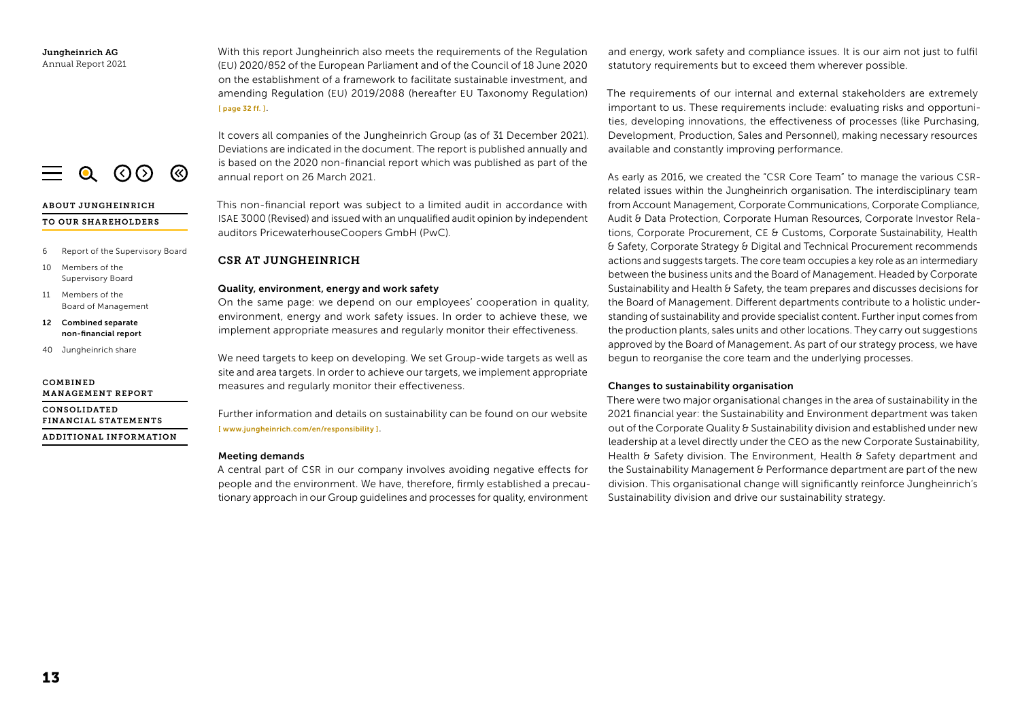With this report Jungheinrich also meets the requirements of the Regulation (EU) 2020/852 of the European Parliament and of the Council of 18 June 2020 on the establishment of a framework to facilitate sustainable investment, and amending Regulation (EU) 2019/2088 (hereafter EU Taxonomy Regulation) [ [page 32](#page-20-0) ff. ].

It covers all companies of the Jungheinrich Group (as of 31 December 2021). Deviations are indicated in the document. The report is published annually and is based on the 2020 non-financial report which was published as part of the annual report on 26 March 2021.

This non-financial report was subject to a limited audit in accordance with ISAE 3000 (Revised) and issued with an unqualified audit opinion by independent auditors PricewaterhouseCoopers GmbH (PwC).

## CSR AT JUNGHEINRICH

## Quality, environment, energy and work safety

On the same page: we depend on our employees' cooperation in quality, environment, energy and work safety issues. In order to achieve these, we implement appropriate measures and regularly monitor their effectiveness.

We need targets to keep on developing. We set Group-wide targets as well as site and area targets. In order to achieve our targets, we implement appropriate measures and regularly monitor their effectiveness.

Further information and details on sustainability can be found on our website [ [www.jungheinrich.com/en/responsibility](https://www.jungheinrich.com/en/responsibility) ].

## Meeting demands

A central part of CSR in our company involves avoiding negative effects for people and the environment. We have, therefore, firmly established a precautionary approach in our Group guidelines and processes for quality, environment

and energy, work safety and compliance issues. It is our aim not just to fulfil statutory requirements but to exceed them wherever possible.

The requirements of our internal and external stakeholders are extremely important to us. These requirements include: evaluating risks and opportunities, developing innovations, the effectiveness of processes (like Purchasing, Development, Production, Sales and Personnel), making necessary resources available and constantly improving performance.

As early as 2016, we created the "CSR Core Team" to manage the various CSRrelated issues within the Jungheinrich organisation. The interdisciplinary team from Account Management, Corporate Communications, Corporate Compliance, Audit & Data Protection, Corporate Human Resources, Corporate Investor Relations, Corporate Procurement, CE & Customs, Corporate Sustainability, Health & Safety, Corporate Strategy & Digital and Technical Procurement recommends actions and suggests targets. The core team occupies a key role as an intermediary between the business units and the Board of Management. Headed by Corporate Sustainability and Health & Safety, the team prepares and discusses decisions for the Board of Management. Different departments contribute to a holistic understanding of sustainability and provide specialist content. Further input comes from the production plants, sales units and other locations. They carry out suggestions approved by the Board of Management. As part of our strategy process, we have begun to reorganise the core team and the underlying processes.

## Changes to sustainability organisation

There were two major organisational changes in the area of sustainability in the 2021 financial year: the Sustainability and Environment department was taken out of the Corporate Quality & Sustainability division and established under new leadership at a level directly under the CEO as the new Corporate Sustainability, Health & Safety division. The Environment, Health & Safety department and the Sustainability Management & Performance department are part of the new division. This organisational change will significantly reinforce Jungheinrich's Sustainability division and drive our sustainability strategy.

 $\equiv$  0 (0) (8)

## ABOUT JUNGHEINRICH

## TO OUR SHAREHOLDERS

- 6 Report of the Supervisory Board
- 10 Members of the Supervisory Board
- 11 Members of the Board of Management
- 12 Combined separate non-financial report
- 40 Jungheinrich share

#### COMBINED MANAGEMENT REPORT

CONSOLIDATED FINANCIAL STATEMENTS ADDITIONAL INFORMATION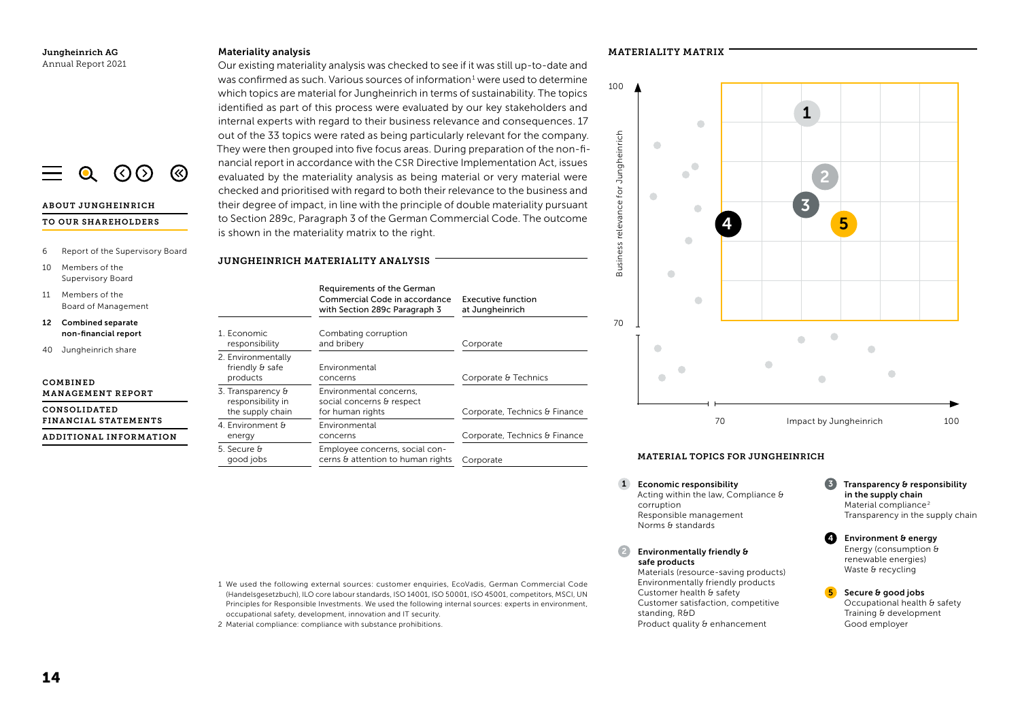## Materiality analysis

Our existing materiality analysis was checked to see if it was still up-to-date and was confirmed as such. Various sources of information $1$  were used to determine which topics are material for Jungheinrich in terms of sustainability. The topics identified as part of this process were evaluated by our key stakeholders and internal experts with regard to their business relevance and consequences. 17 out of the 33 topics were rated as being particularly relevant for the company. They were then grouped into five focus areas. During preparation of the non-financial report in accordance with the CSR Directive Implementation Act, issues evaluated by the materiality analysis as being material or very material were checked and prioritised with regard to both their relevance to the business and their degree of impact, in line with the principle of double materiality pursuant to Section 289c, Paragraph 3 of the German Commercial Code. The outcome is shown in the materiality matrix to the right.

#### 6 Report of the Supervisory Board JUNGHEINRICH MATERIALITY ANALYSIS

10 Members of the Supervisory Board

ABOUT JUNGHEINRICH TO OUR SHAREHOLDERS

 $Q$  (  $Q$   $Q$   $Q$ 

ි

- 11 Members of the Board of Management
- 12 Combined separate non-financial report
- 40 Jungheinrich share

#### COMBINED MANAGEMENT REPORT

CONSOLIDATED FINANCIAL STATEMENTS

ADDITIONAL INFORMATION

#### Requirements of the German Commercial Code in accordance with Section 289c Paragraph 3 Executive function at Jungheinrich 1. Economic responsibility Combating corruption and bribery **Corporate** 2. Environmentally friendly & safe products Environmental concerns Corporate & Technics 3. Transparency & responsibility in the supply chain Environmental concerns, social concerns & respect<br>for human rights Corporate, Technics & Finance 4. Environment & energy Environmental concerns Corporate, Technics & Finance 5. Secure & good jobs Employee concerns, social concerns & attention to human rights Corporate





## MATERIAL TOPICS FOR JUNGHEINRICH

- 1 Economic responsibility **1 3 August 1** 3 **3** Acting within the law, Compliance  $\theta$ corruption Responsible management Norms  $\theta$  standards
- Environmentally friendly & safe products Materials (resource-saving products) Environmentally friendly products Customer health & safety Customer satisfaction, competitive

standing, R&D Product quality & enhancement

- Transparency & responsibility in the supply chain Material compliance<sup>2</sup> Transparency in the supply chain
- Environment & energy Energy (consumption  $\theta$ renewable energies) Waste  $\theta$  recycling 4

5

Secure & good jobs Occupational health & safety Training & development Good employer

1 We used the following external sources: customer enquiries, EcoVadis, German Commercial Code (Handelsgesetzbuch), ILO core labour standards, ISO 14001, ISO 50001, ISO 45001, competitors, MSCI, UN Principles for Responsible Investments. We used the following internal sources: experts in environment, occupational safety, development, innovation and IT security.

2 Material compliance: compliance with substance prohibitions.

MATERIALITY MATRIX

Business relevance for Jungheinrich

Business relevance

for Jungheinrich

100

70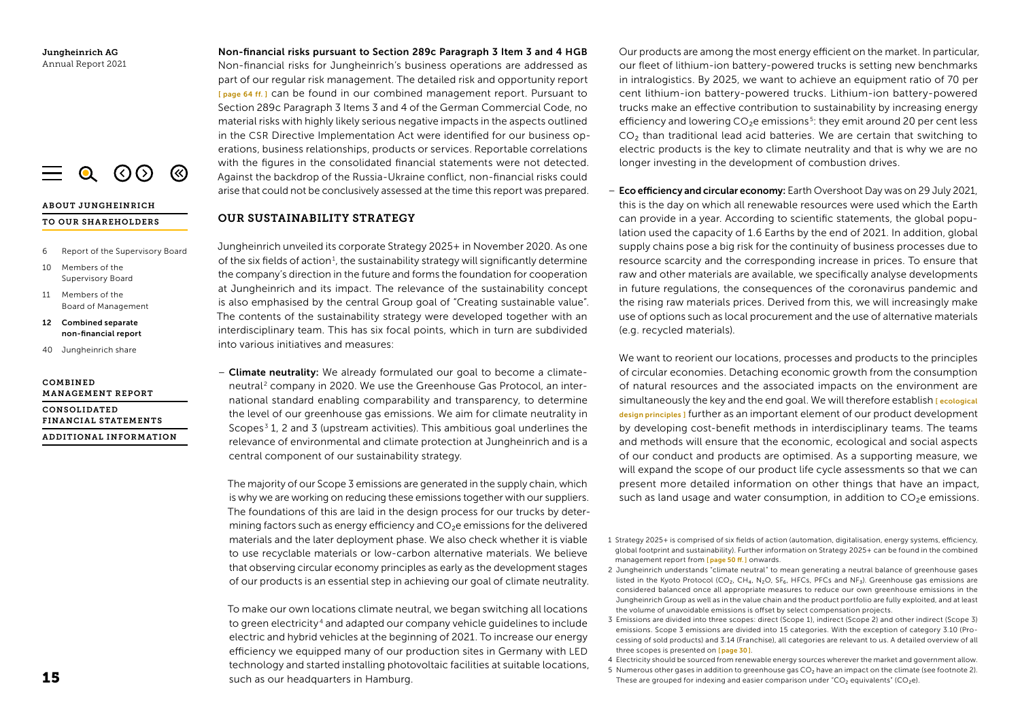

#### ABOUT JUNGHEINRICH

#### TO OUR SHAREHOLDERS

- 6 Report of the Supervisory Board
- 10 Members of the Supervisory Board
- 11 Members of the Board of Management
- 12 Combined separate non-financial report
- 40 Jungheinrich share

#### COMBINED MANAGEMENT REPORT

CONSOLIDATED FINANCIAL STATEMENTS ADDITIONAL INFORMATION Non-financial risks pursuant to Section 289c Paragraph 3 Item 3 and 4 HGB Non-financial risks for Jungheinrich's business operations are addressed as part of our regular risk management. The detailed risk and opportunity report [ [page 64 ff. \]](#page--1-0) can be found in our combined management report. Pursuant to Section 289c Paragraph 3 Items 3 and 4 of the German Commercial Code, no material risks with highly likely serious negative impacts in the aspects outlined in the CSR Directive Implementation Act were identified for our business operations, business relationships, products or services. Reportable correlations with the figures in the consolidated financial statements were not detected. Against the backdrop of the Russia-Ukraine conflict, non-financial risks could arise that could not be conclusively assessed at the time this report was prepared.

## OUR SUSTAINABILITY STRATEGY

Jungheinrich unveiled its corporate Strategy 2025+ in November 2020. As one of the six fields of action<sup>1</sup>, the sustainability strategy will significantly determine the company's direction in the future and forms the foundation for cooperation at Jungheinrich and its impact. The relevance of the sustainability concept is also emphasised by the central Group goal of "Creating sustainable value". The contents of the sustainability strategy were developed together with an interdisciplinary team. This has six focal points, which in turn are subdivided into various initiatives and measures:

– Climate neutrality: We already formulated our goal to become a climateneutral<sup>2</sup> company in 2020. We use the Greenhouse Gas Protocol, an international standard enabling comparability and transparency, to determine the level of our greenhouse gas emissions. We aim for climate neutrality in Scopes<sup>3</sup> 1, 2 and 3 (upstream activities). This ambitious goal underlines the relevance of environmental and climate protection at Jungheinrich and is a central component of our sustainability strategy.

The majority of our Scope 3 emissions are generated in the supply chain, which is why we are working on reducing these emissions together with our suppliers. The foundations of this are laid in the design process for our trucks by determining factors such as energy efficiency and CO₂e emissions for the delivered materials and the later deployment phase. We also check whether it is viable to use recyclable materials or low-carbon alternative materials. We believe that observing circular economy principles as early as the development stages of our products is an essential step in achieving our goal of climate neutrality.

To make our own locations climate neutral, we began switching all locations to green electricity <sup>4</sup> and adapted our company vehicle guidelines to include electric and hybrid vehicles at the beginning of 2021. To increase our energy efficiency we equipped many of our production sites in Germany with LED technology and started installing photovoltaic facilities at suitable locations, such as our headquarters in Hamburg.

Our products are among the most energy efficient on the market. In particular, our fleet of lithium-ion battery-powered trucks is setting new benchmarks in intralogistics. By 2025, we want to achieve an equipment ratio of 70 per cent lithium-ion battery-powered trucks. Lithium-ion battery-powered trucks make an effective contribution to sustainability by increasing energy efficiency and lowering CO<sub>2</sub>e emissions<sup>5</sup>: they emit around 20 per cent less CO<sub>2</sub> than traditional lead acid batteries. We are certain that switching to electric products is the key to climate neutrality and that is why we are no longer investing in the development of combustion drives.

- Eco efficiency and circular economy: Earth Overshoot Day was on 29 July 2021, this is the day on which all renewable resources were used which the Earth can provide in a year. According to scientific statements, the global population used the capacity of 1.6 Earths by the end of 2021. In addition, global supply chains pose a big risk for the continuity of business processes due to resource scarcity and the corresponding increase in prices. To ensure that raw and other materials are available, we specifically analyse developments in future regulations, the consequences of the coronavirus pandemic and the rising raw materials prices. Derived from this, we will increasingly make use of options such as local procurement and the use of alternative materials (e.g. recycled materials).

We want to reorient our locations, processes and products to the principles of circular economies. Detaching economic growth from the consumption of natural resources and the associated impacts on the environment are simultaneously the key and the end goal. We will therefore establish **[ecological**] design [principles](#page-16-0) ] further as an important element of our product development by developing cost-benefit methods in interdisciplinary teams. The teams and methods will ensure that the economic, ecological and social aspects of our conduct and products are optimised. As a supporting measure, we will expand the scope of our product life cycle assessments so that we can present more detailed information on other things that have an impact, such as land usage and water consumption, in addition to  $CO<sub>2</sub>e$  emissions.

- 1 Strategy 2025+ is comprised of six fields of action (automation, digitalisation, energy systems, efficiency, global footprint and sustainability). Further information on Strategy 2025+ can be found in the combined management report from [[page](#page--1-0) 50 ff.] onwards.
- 2 Jungheinrich understands "climate neutral" to mean generating a neutral balance of greenhouse gases listed in the Kyoto Protocol (CO<sub>2</sub>, CH<sub>4</sub>, N<sub>2</sub>O, SF<sub>6</sub>, HFCs, PFCs and NF<sub>3</sub>). Greenhouse gas emissions are considered balanced once all appropriate measures to reduce our own greenhouse emissions in the Jungheinrich Group as well as in the value chain and the product portfolio are fully exploited, and at least the volume of unavoidable emissions is offset by select compensation projects.
- 3 Emissions are divided into three scopes: direct (Scope 1), indirect (Scope 2) and other indirect (Scope 3) emissions. Scope 3 emissions are divided into 15 categories. With the exception of category 3.10 (Processing of sold products) and 3.14 (Franchise), all categories are relevant to us. A detailed overview of all three scopes is presented on [[page](#page-18-0) 30].
- 4 Electricity should be sourced from renewable energy sources wherever the market and government allow.
- 5 Numerous other gases in addition to greenhouse gas CO<sub>2</sub> have an impact on the climate (see footnote 2). These are grouped for indexing and easier comparison under " $CO<sub>2</sub>$  equivalents" (CO<sub>2</sub>e).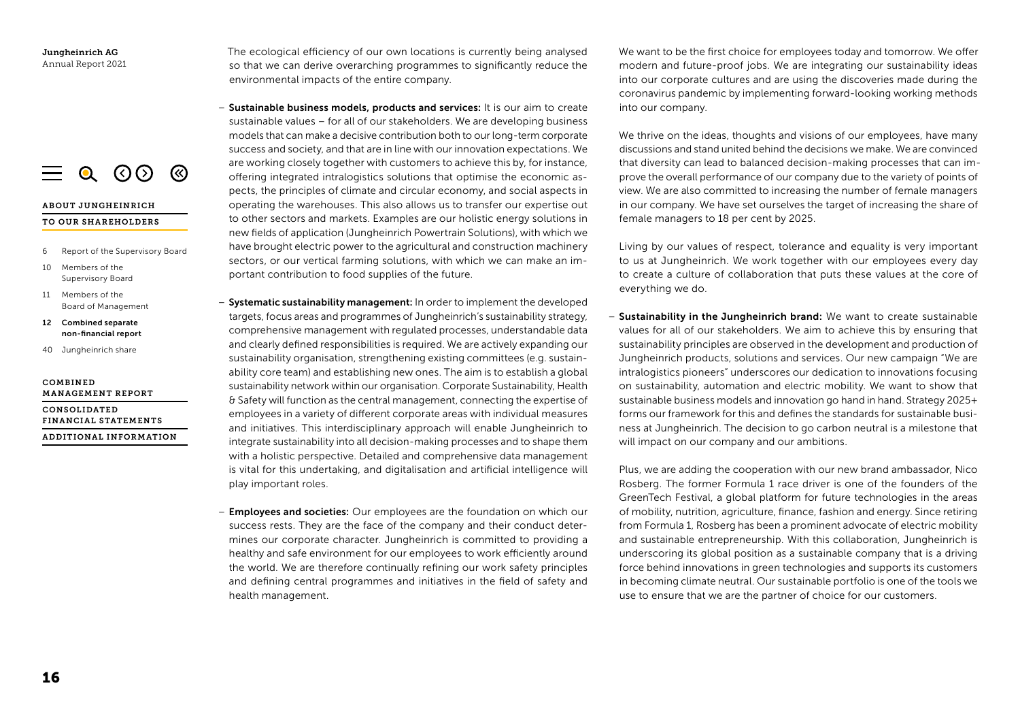

#### TO OUR SHAREHOLDERS

6 Report of the Supervisory Board

 $\equiv$  0 (0) (8)

- 10 Members of the Supervisory Board
- 11 Members of the Board of Management
- 12 Combined separate non-financial report
- 40 Jungheinrich share

#### COMBINED MANAGEMENT REPORT

CONSOLIDATED FINANCIAL STATEMENTS ADDITIONAL INFORMATION The ecological efficiency of our own locations is currently being analysed so that we can derive overarching programmes to significantly reduce the environmental impacts of the entire company.

– Sustainable business models, products and services: It is our aim to create sustainable values – for all of our stakeholders. We are developing business models that can make a decisive contribution both to our long-term corporate success and society, and that are in line with our innovation expectations. We are working closely together with customers to achieve this by, for instance, offering integrated intralogistics solutions that optimise the economic aspects, the principles of climate and circular economy, and social aspects in operating the warehouses. This also allows us to transfer our expertise out to other sectors and markets. Examples are our holistic energy solutions in new fields of application (Jungheinrich Powertrain Solutions), with which we have brought electric power to the agricultural and construction machinery sectors, or our vertical farming solutions, with which we can make an important contribution to food supplies of the future.

– Systematic sustainability management: In order to implement the developed targets, focus areas and programmes of Jungheinrich's sustainability strategy, comprehensive management with regulated processes, understandable data and clearly defined responsibilities is required. We are actively expanding our sustainability organisation, strengthening existing committees (e.g. sustainability core team) and establishing new ones. The aim is to establish a global sustainability network within our organisation. Corporate Sustainability, Health & Safety will function as the central management, connecting the expertise of employees in a variety of different corporate areas with individual measures and initiatives. This interdisciplinary approach will enable Jungheinrich to integrate sustainability into all decision-making processes and to shape them with a holistic perspective. Detailed and comprehensive data management is vital for this undertaking, and digitalisation and artificial intelligence will play important roles.

– Employees and societies: Our employees are the foundation on which our success rests. They are the face of the company and their conduct determines our corporate character. Jungheinrich is committed to providing a healthy and safe environment for our employees to work efficiently around the world. We are therefore continually refining our work safety principles and defining central programmes and initiatives in the field of safety and health management.

We want to be the first choice for employees today and tomorrow. We offer modern and future-proof jobs. We are integrating our sustainability ideas into our corporate cultures and are using the discoveries made during the coronavirus pandemic by implementing forward-looking working methods into our company.

We thrive on the ideas, thoughts and visions of our employees, have many discussions and stand united behind the decisions we make. We are convinced that diversity can lead to balanced decision-making processes that can improve the overall performance of our company due to the variety of points of view. We are also committed to increasing the number of female managers in our company. We have set ourselves the target of increasing the share of female managers to 18 per cent by 2025.

Living by our values of respect, tolerance and equality is very important to us at Jungheinrich. We work together with our employees every day to create a culture of collaboration that puts these values at the core of everything we do.

- Sustainability in the Jungheinrich brand: We want to create sustainable values for all of our stakeholders. We aim to achieve this by ensuring that sustainability principles are observed in the development and production of Jungheinrich products, solutions and services. Our new campaign "We are intralogistics pioneers" underscores our dedication to innovations focusing on sustainability, automation and electric mobility. We want to show that sustainable business models and innovation go hand in hand. Strategy 2025+ forms our framework for this and defines the standards for sustainable business at Jungheinrich. The decision to go carbon neutral is a milestone that will impact on our company and our ambitions.

Plus, we are adding the cooperation with our new brand ambassador, Nico Rosberg. The former Formula 1 race driver is one of the founders of the GreenTech Festival, a global platform for future technologies in the areas of mobility, nutrition, agriculture, finance, fashion and energy. Since retiring from Formula 1, Rosberg has been a prominent advocate of electric mobility and sustainable entrepreneurship. With this collaboration, Jungheinrich is underscoring its global position as a sustainable company that is a driving force behind innovations in green technologies and supports its customers in becoming climate neutral. Our sustainable portfolio is one of the tools we use to ensure that we are the partner of choice for our customers.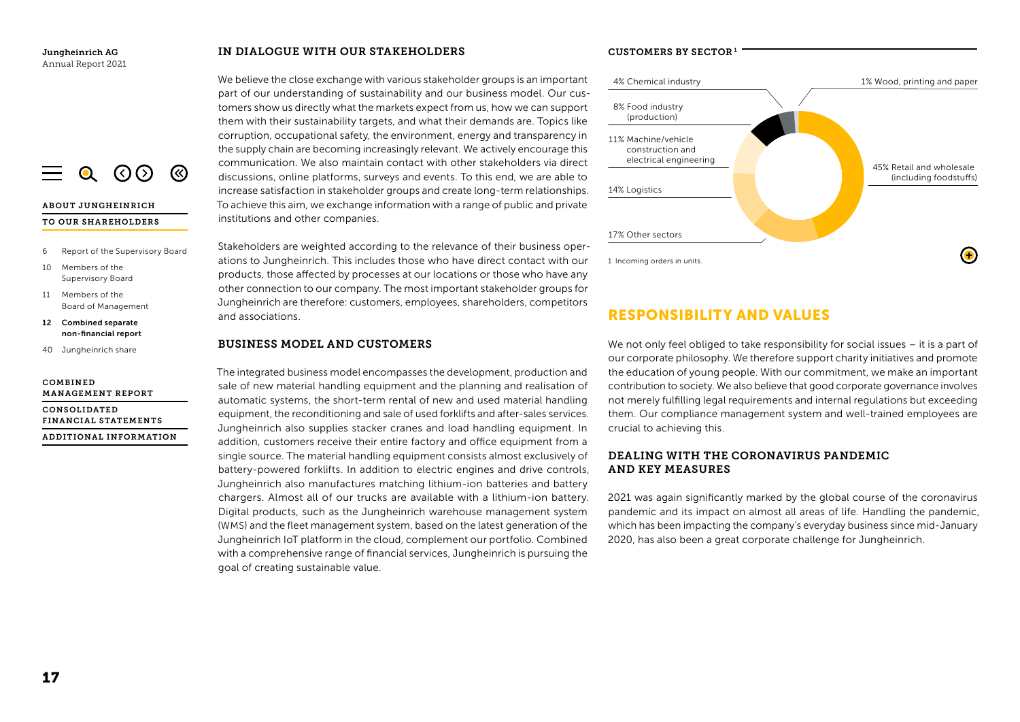#### $Q$  (  $Q$   $Q$   $Q$ ි

## ABOUT JUNGHEINRICH TO OUR SHAREHOLDERS

- 6 Report of the Supervisory Board
- 10 Members of the Supervisory Board
- 11 Members of the Board of Management
- 12 Combined separate non-financial report
- 40 Jungheinrich share

#### COMBINED MANAGEMENT REPORT

CONSOLIDATED FINANCIAL STATEMENTS ADDITIONAL INFORMATION

## IN DIALOGUE WITH OUR STAKEHOLDERS

We believe the close exchange with various stakeholder groups is an important part of our understanding of sustainability and our business model. Our customers show us directly what the markets expect from us, how we can support them with their sustainability targets, and what their demands are. Topics like corruption, occupational safety, the environment, energy and transparency in the supply chain are becoming increasingly relevant. We actively encourage this communication. We also maintain contact with other stakeholders via direct discussions, online platforms, surveys and events. To this end, we are able to increase satisfaction in stakeholder groups and create long-term relationships. To achieve this aim, we exchange information with a range of public and private institutions and other companies.

Stakeholders are weighted according to the relevance of their business operations to Jungheinrich. This includes those who have direct contact with our products, those affected by processes at our locations or those who have any other connection to our company. The most important stakeholder groups for Jungheinrich are therefore: customers, employees, shareholders, competitors and associations.

## BUSINESS MODEL AND CUSTOMERS

The integrated business model encompasses the development, production and sale of new material handling equipment and the planning and realisation of automatic systems, the short-term rental of new and used material handling equipment, the reconditioning and sale of used forklifts and after-sales services. Jungheinrich also supplies stacker cranes and load handling equipment. In addition, customers receive their entire factory and office equipment from a single source. The material handling equipment consists almost exclusively of battery-powered forklifts. In addition to electric engines and drive controls, Jungheinrich also manufactures matching lithium-ion batteries and battery chargers. Almost all of our trucks are available with a lithium-ion battery. Digital products, such as the Jungheinrich warehouse management system (WMS) and the fleet management system, based on the latest generation of the Jungheinrich IoT platform in the cloud, complement our portfolio. Combined with a comprehensive range of financial services, Jungheinrich is pursuing the goal of creating sustainable value.

## CUSTOMERS BY SECTOR <sup>1</sup>



# RESPONSIBILITY AND VALUES

We not only feel obliged to take responsibility for social issues – it is a part of our corporate philosophy. We therefore support charity initiatives and promote the education of young people. With our commitment, we make an important contribution to society. We also believe that good corporate governance involves not merely fulfilling legal requirements and internal regulations but exceeding them. Our compliance management system and well-trained employees are crucial to achieving this.

## DEALING WITH THE CORONAVIRUS PANDEMIC AND KEY MEASURES

2021 was again significantly marked by the global course of the coronavirus pandemic and its impact on almost all areas of life. Handling the pandemic, which has been impacting the company's everyday business since mid-January 2020, has also been a great corporate challenge for Jungheinrich.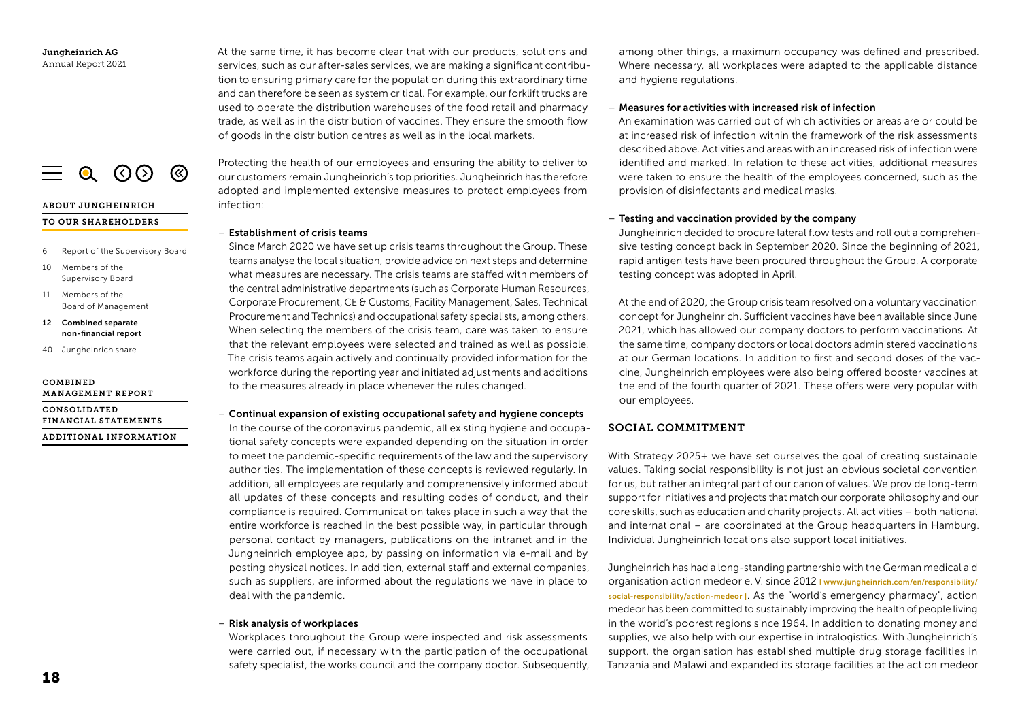ABOUT JUNGHEINRICH

10 Members of the Supervisory Board 11 Members of the

COMBINED

6 Report of the Supervisory Board

 $\equiv$  0 (0) (8)

Board of Management 12 Combined separate non-financial report 40 Jungheinrich share

MANAGEMENT REPORT CONSOLIDATED

FINANCIAL STATEMENTS ADDITIONAL INFORMATION At the same time, it has become clear that with our products, solutions and services, such as our after-sales services, we are making a significant contribution to ensuring primary care for the population during this extraordinary time and can therefore be seen as system critical. For example, our forklift trucks are used to operate the distribution warehouses of the food retail and pharmacy trade, as well as in the distribution of vaccines. They ensure the smooth flow of goods in the distribution centres as well as in the local markets.

Protecting the health of our employees and ensuring the ability to deliver to our customers remain Jungheinrich's top priorities. Jungheinrich has therefore adopted and implemented extensive measures to protect employees from infection:

#### – Establishment of crisis teams

Since March 2020 we have set up crisis teams throughout the Group. These teams analyse the local situation, provide advice on next steps and determine what measures are necessary. The crisis teams are staffed with members of the central administrative departments (such as Corporate Human Resources, Corporate Procurement, CE & Customs, Facility Management, Sales, Technical Procurement and Technics) and occupational safety specialists, among others. When selecting the members of the crisis team, care was taken to ensure that the relevant employees were selected and trained as well as possible. The crisis teams again actively and continually provided information for the workforce during the reporting year and initiated adjustments and additions to the measures already in place whenever the rules changed.

#### – Continual expansion of existing occupational safety and hygiene concepts

In the course of the coronavirus pandemic, all existing hygiene and occupational safety concepts were expanded depending on the situation in order to meet the pandemic-specific requirements of the law and the supervisory authorities. The implementation of these concepts is reviewed regularly. In addition, all employees are regularly and comprehensively informed about all updates of these concepts and resulting codes of conduct, and their compliance is required. Communication takes place in such a way that the entire workforce is reached in the best possible way, in particular through personal contact by managers, publications on the intranet and in the Jungheinrich employee app, by passing on information via e-mail and by posting physical notices. In addition, external staff and external companies, such as suppliers, are informed about the regulations we have in place to deal with the pandemic.

#### – Risk analysis of workplaces

Workplaces throughout the Group were inspected and risk assessments were carried out, if necessary with the participation of the occupational safety specialist, the works council and the company doctor. Subsequently, among other things, a maximum occupancy was defined and prescribed. Where necessary, all workplaces were adapted to the applicable distance and hygiene regulations.

## – Measures for activities with increased risk of infection

An examination was carried out of which activities or areas are or could be at increased risk of infection within the framework of the risk assessments described above. Activities and areas with an increased risk of infection were identified and marked. In relation to these activities, additional measures were taken to ensure the health of the employees concerned, such as the provision of disinfectants and medical masks.

## – Testing and vaccination provided by the company

Jungheinrich decided to procure lateral flow tests and roll out a comprehensive testing concept back in September 2020. Since the beginning of 2021, rapid antigen tests have been procured throughout the Group. A corporate testing concept was adopted in April.

At the end of 2020, the Group crisis team resolved on a voluntary vaccination concept for Jungheinrich. Sufficient vaccines have been available since June 2021, which has allowed our company doctors to perform vaccinations. At the same time, company doctors or local doctors administered vaccinations at our German locations. In addition to first and second doses of the vaccine, Jungheinrich employees were also being offered booster vaccines at the end of the fourth quarter of 2021. These offers were very popular with our employees.

## SOCIAL COMMITMENT

With Strategy 2025+ we have set ourselves the goal of creating sustainable values. Taking social responsibility is not just an obvious societal convention for us, but rather an integral part of our canon of values. We provide long-term support for initiatives and projects that match our corporate philosophy and our core skills, such as education and charity projects. All activities – both national and international – are coordinated at the Group headquarters in Hamburg. Individual Jungheinrich locations also support local initiatives.

Jungheinrich has had a long-standing partnership with the German medical aid organisation action medeor e. V. since 2012 [ [www.jungheinrich.com/en/responsibility/](https://www.jungheinrich.com/en/responsibility/social-responsibility/action-medeor-6242) [social-responsibility/action-medeor](https://www.jungheinrich.com/en/responsibility/social-responsibility/action-medeor-6242) ]. As the "world's emergency pharmacy", action medeor has been committed to sustainably improving the health of people living in the world's poorest regions since 1964. In addition to donating money and supplies, we also help with our expertise in intralogistics. With Jungheinrich's support, the organisation has established multiple drug storage facilities in Tanzania and Malawi and expanded its storage facilities at the action medeor

# TO OUR SHAREHOLDERS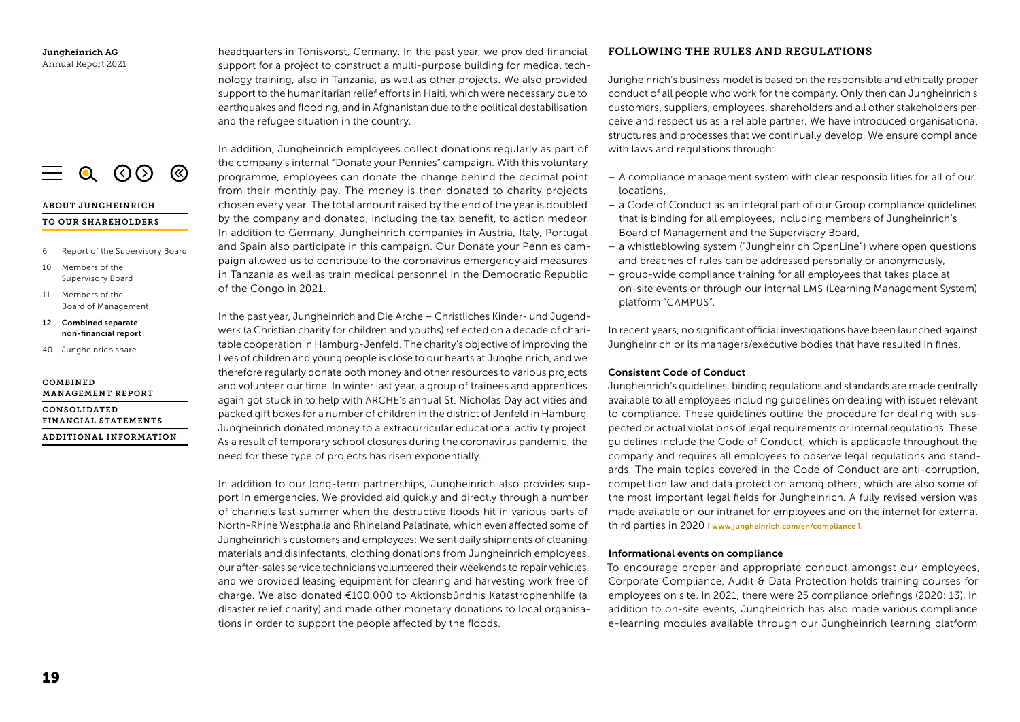ABOUT JUNGHEINRICH TO OUR SHAREHOLDERS

 $\equiv$  0 (36)

**®** 

10 Members of the Supervisory Board 11 Members of the

COMBINED

6 Report of the Supervisory Board

Board of Management 12 Combined separate non-financial report 40 Jungheinrich share

MANAGEMENT REPORT CONSOLIDATED

FINANCIAL STATEMENTS ADDITIONAL INFORMATION headquarters in Tönisvorst, Germany. In the past year, we provided financial support for a project to construct a multi-purpose building for medical technology training, also in Tanzania, as well as other projects. We also provided support to the humanitarian relief efforts in Haiti, which were necessary due to earthquakes and flooding, and in Afghanistan due to the political destabilisation and the refugee situation in the country.

In addition, Jungheinrich employees collect donations regularly as part of the company's internal "Donate your Pennies" campaign. With this voluntary programme, employees can donate the change behind the decimal point from their monthly pay. The money is then donated to charity projects chosen every year. The total amount raised by the end of the year is doubled by the company and donated, including the tax benefit, to action medeor. In addition to Germany, Jungheinrich companies in Austria, Italy, Portugal and Spain also participate in this campaign. Our Donate your Pennies campaign allowed us to contribute to the coronavirus emergency aid measures in Tanzania as well as train medical personnel in the Democratic Republic of the Congo in 2021.

In the past year, Jungheinrich and Die Arche – Christliches Kinder- und Jugendwerk (a Christian charity for children and youths) reflected on a decade of charitable cooperation in Hamburg-Jenfeld. The charity's objective of improving the lives of children and young people is close to our hearts at Jungheinrich, and we therefore regularly donate both money and other resources to various projects and volunteer our time. In winter last year, a group of trainees and apprentices again got stuck in to help with ARCHE's annual St. Nicholas Day activities and packed gift boxes for a number of children in the district of Jenfeld in Hamburg. Jungheinrich donated money to a extracurricular educational activity project. As a result of temporary school closures during the coronavirus pandemic, the need for these type of projects has risen exponentially.

In addition to our long-term partnerships, Jungheinrich also provides support in emergencies. We provided aid quickly and directly through a number of channels last summer when the destructive floods hit in various parts of North-Rhine Westphalia and Rhineland Palatinate, which even affected some of Jungheinrich's customers and employees: We sent daily shipments of cleaning materials and disinfectants, clothing donations from Jungheinrich employees, our after-sales service technicians volunteered their weekends to repair vehicles, and we provided leasing equipment for clearing and harvesting work free of charge. We also donated €100,000 to Aktionsbündnis Katastrophenhilfe (a disaster relief charity) and made other monetary donations to local organisations in order to support the people affected by the floods.

## FOLLOWING THE RULES AND REGULATIONS

Jungheinrich's business model is based on the responsible and ethically proper conduct of all people who work for the company. Only then can Jungheinrich's customers, suppliers, employees, shareholders and all other stakeholders perceive and respect us as a reliable partner. We have introduced organisational structures and processes that we continually develop. We ensure compliance with laws and regulations through:

- A compliance management system with clear responsibilities for all of our locations,
- a Code of Conduct as an integral part of our Group compliance guidelines that is binding for all employees, including members of Jungheinrich's Board of Management and the Supervisory Board,
- a whistleblowing system ("Jungheinrich OpenLine") where open questions and breaches of rules can be addressed personally or anonymously,
- group-wide compliance training for all employees that takes place at on-site events or through our internal LMS (Learning Management System) platform "CAMPUS".

In recent years, no significant official investigations have been launched against Jungheinrich or its managers/executive bodies that have resulted in fines.

## Consistent Code of Conduct

Jungheinrich's guidelines, binding regulations and standards are made centrally available to all employees including guidelines on dealing with issues relevant to compliance. These guidelines outline the procedure for dealing with suspected or actual violations of legal requirements or internal regulations. These guidelines include the Code of Conduct, which is applicable throughout the company and requires all employees to observe legal regulations and standards. The main topics covered in the Code of Conduct are anti-corruption, competition law and data protection among others, which are also some of the most important legal fields for Jungheinrich. A fully revised version was made available on our intranet for employees and on the internet for external third parties in 2020 [ [www.jungheinrich.com/en/compliance](https://www.jungheinrich.com/en/investor-relations/corporate-governance/compliance-6230) ].

## Informational events on compliance

To encourage proper and appropriate conduct amongst our employees, Corporate Compliance, Audit & Data Protection holds training courses for employees on site. In 2021, there were 25 compliance briefings (2020: 13). In addition to on-site events, Jungheinrich has also made various compliance e-learning modules available through our Jungheinrich learning platform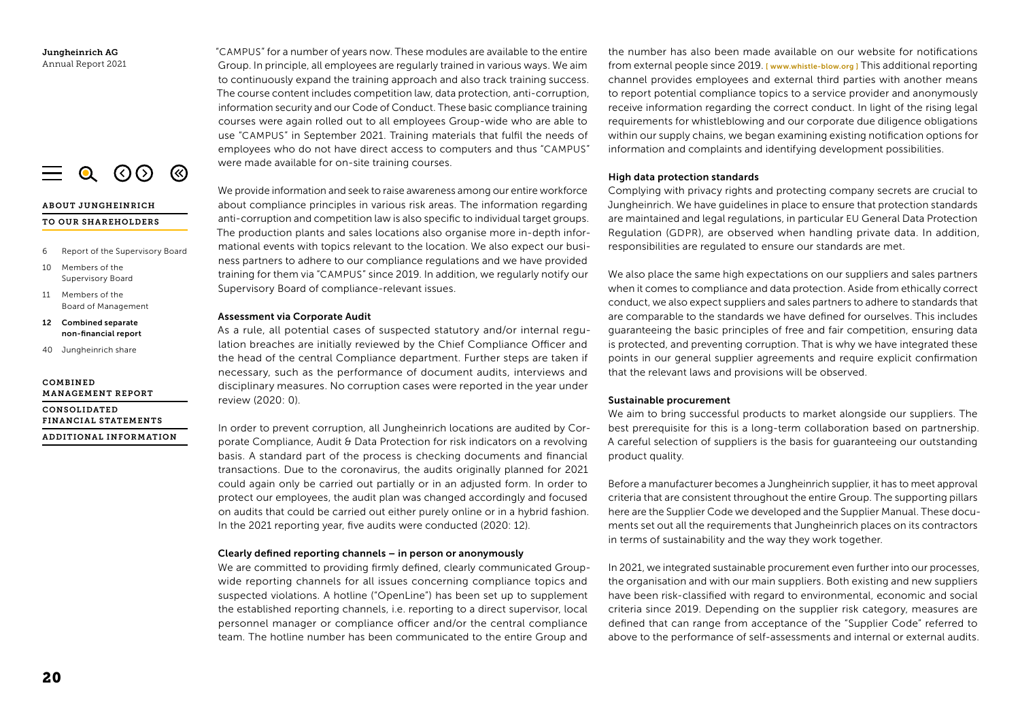

## ABOUT JUNGHEINRICH

#### TO OUR SHAREHOLDERS

- 6 Report of the Supervisory Board
- 10 Members of the Supervisory Board
- 11 Members of the Board of Management
- 12 Combined separate non-financial report
- 40 Jungheinrich share

#### COMBINED MANAGEMENT REPORT

CONSOLIDATED FINANCIAL STATEMENTS ADDITIONAL INFORMATION "CAMPUS" for a number of years now. These modules are available to the entire Group. In principle, all employees are regularly trained in various ways. We aim to continuously expand the training approach and also track training success. The course content includes competition law, data protection, anti-corruption, information security and our Code of Conduct. These basic compliance training courses were again rolled out to all employees Group-wide who are able to use "CAMPUS" in September 2021. Training materials that fulfil the needs of employees who do not have direct access to computers and thus "CAMPUS" were made available for on-site training courses.

We provide information and seek to raise awareness among our entire workforce about compliance principles in various risk areas. The information regarding anti-corruption and competition law is also specific to individual target groups. The production plants and sales locations also organise more in-depth informational events with topics relevant to the location. We also expect our business partners to adhere to our compliance regulations and we have provided training for them via "CAMPUS" since 2019. In addition, we regularly notify our Supervisory Board of compliance-relevant issues.

#### Assessment via Corporate Audit

As a rule, all potential cases of suspected statutory and/or internal regulation breaches are initially reviewed by the Chief Compliance Officer and the head of the central Compliance department. Further steps are taken if necessary, such as the performance of document audits, interviews and disciplinary measures. No corruption cases were reported in the year under review (2020: 0).

In order to prevent corruption, all Jungheinrich locations are audited by Corporate Compliance, Audit & Data Protection for risk indicators on a revolving basis. A standard part of the process is checking documents and financial transactions. Due to the coronavirus, the audits originally planned for 2021 could again only be carried out partially or in an adjusted form. In order to protect our employees, the audit plan was changed accordingly and focused on audits that could be carried out either purely online or in a hybrid fashion. In the 2021 reporting year, five audits were conducted (2020: 12).

#### Clearly defined reporting channels – in person or anonymously

We are committed to providing firmly defined, clearly communicated Groupwide reporting channels for all issues concerning compliance topics and suspected violations. A hotline ("OpenLine") has been set up to supplement the established reporting channels, i.e. reporting to a direct supervisor, local personnel manager or compliance officer and/or the central compliance team. The hotline number has been communicated to the entire Group and

the number has also been made available on our website for notifications from external people since 2019. [ [www.whistle-blow.org \]](https://www.whistle-blow.org) This additional reporting channel provides employees and external third parties with another means to report potential compliance topics to a service provider and anonymously receive information regarding the correct conduct. In light of the rising legal requirements for whistleblowing and our corporate due diligence obligations within our supply chains, we began examining existing notification options for information and complaints and identifying development possibilities.

#### High data protection standards

Complying with privacy rights and protecting company secrets are crucial to Jungheinrich. We have guidelines in place to ensure that protection standards are maintained and legal regulations, in particular EU General Data Protection Regulation (GDPR), are observed when handling private data. In addition, responsibilities are regulated to ensure our standards are met.

We also place the same high expectations on our suppliers and sales partners when it comes to compliance and data protection. Aside from ethically correct conduct, we also expect suppliers and sales partners to adhere to standards that are comparable to the standards we have defined for ourselves. This includes guaranteeing the basic principles of free and fair competition, ensuring data is protected, and preventing corruption. That is why we have integrated these points in our general supplier agreements and require explicit confirmation that the relevant laws and provisions will be observed.

#### Sustainable procurement

We aim to bring successful products to market alongside our suppliers. The best prerequisite for this is a long-term collaboration based on partnership. A careful selection of suppliers is the basis for guaranteeing our outstanding product quality.

Before a manufacturer becomes a Jungheinrich supplier, it has to meet approval criteria that are consistent throughout the entire Group. The supporting pillars here are the Supplier Code we developed and the Supplier Manual. These documents set out all the requirements that Jungheinrich places on its contractors in terms of sustainability and the way they work together.

In 2021, we integrated sustainable procurement even further into our processes, the organisation and with our main suppliers. Both existing and new suppliers have been risk-classified with regard to environmental, economic and social criteria since 2019. Depending on the supplier risk category, measures are defined that can range from acceptance of the "Supplier Code" referred to above to the performance of self-assessments and internal or external audits.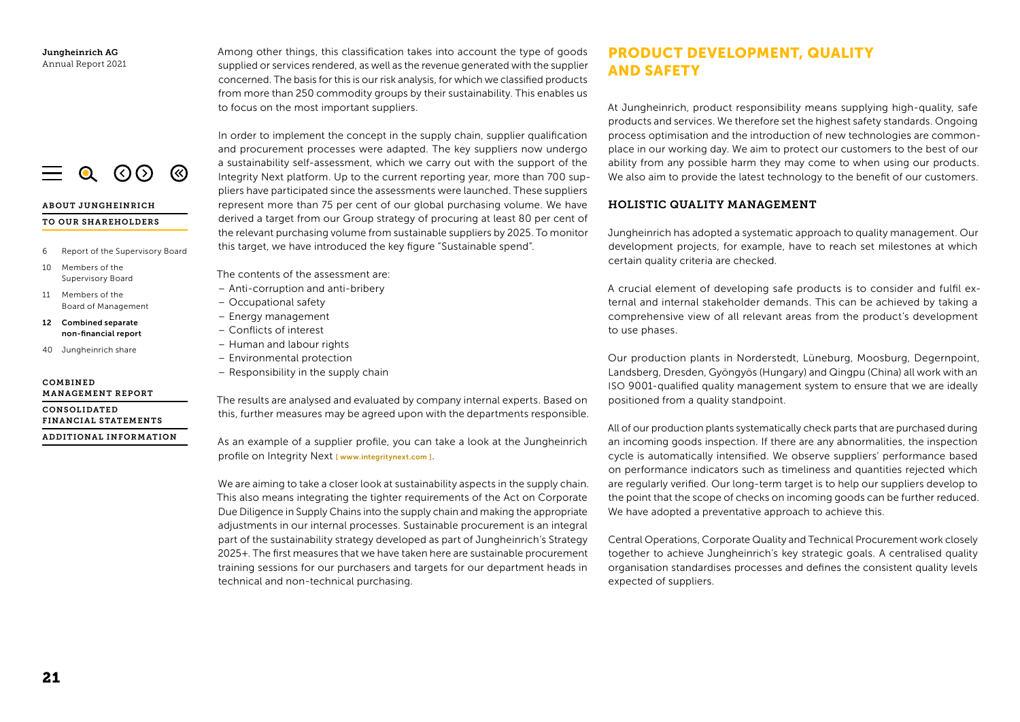$\equiv$  0 (0) (8)

## ABOUT JUNGHEINRICH

#### TO OUR SHAREHOLDERS

- 6 Report of the Supervisory Board
- 10 Members of the Supervisory Board
- 11 Members of the Board of Management
- 12 Combined separate non-financial report
- 40 Jungheinrich share

#### COMBINED MANAGEMENT REPORT

CONSOLIDATED FINANCIAL STATEMENTS

ADDITIONAL INFORMATION

Among other things, this classification takes into account the type of goods supplied or services rendered, as well as the revenue generated with the supplier concerned. The basis for this is our risk analysis, for which we classified products from more than 250 commodity groups by their sustainability. This enables us to focus on the most important suppliers.

In order to implement the concept in the supply chain, supplier qualification and procurement processes were adapted. The key suppliers now undergo a sustainability self-assessment, which we carry out with the support of the Integrity Next platform. Up to the current reporting year, more than 700 suppliers have participated since the assessments were launched. These suppliers represent more than 75 per cent of our global purchasing volume. We have derived a target from our Group strategy of procuring at least 80 per cent of the relevant purchasing volume from sustainable suppliers by 2025. To monitor this target, we have introduced the key figure "Sustainable spend".

The contents of the assessment are:

- Anti-corruption and anti-bribery
- Occupational safety
- Energy management
- Conflicts of interest
- Human and labour rights
- Environmental protection
- Responsibility in the supply chain

The results are analysed and evaluated by company internal experts. Based on this, further measures may be agreed upon with the departments responsible.

As an example of a supplier profile, you can take a look at the Jungheinrich profile on Integrity Next [ [www.integritynext.com](https://www.integritynext.com/) ].

We are aiming to take a closer look at sustainability aspects in the supply chain. This also means integrating the tighter requirements of the Act on Corporate Due Diligence in Supply Chains into the supply chain and making the appropriate adjustments in our internal processes. Sustainable procurement is an integral part of the sustainability strategy developed as part of Jungheinrich's Strategy 2025+. The first measures that we have taken here are sustainable procurement training sessions for our purchasers and targets for our department heads in technical and non-technical purchasing.

# PRODUCT DEVELOPMENT, QUALITY AND SAFETY

At Jungheinrich, product responsibility means supplying high-quality, safe products and services. We therefore set the highest safety standards. Ongoing process optimisation and the introduction of new technologies are commonplace in our working day. We aim to protect our customers to the best of our ability from any possible harm they may come to when using our products. We also aim to provide the latest technology to the benefit of our customers.

## HOLISTIC QUALITY MANAGEMENT

Jungheinrich has adopted a systematic approach to quality management. Our development projects, for example, have to reach set milestones at which certain quality criteria are checked.

A crucial element of developing safe products is to consider and fulfil external and internal stakeholder demands. This can be achieved by taking a comprehensive view of all relevant areas from the product's development to use phases.

Our production plants in Norderstedt, Lüneburg, Moosburg, Degernpoint, Landsberg, Dresden, Gyöngyös (Hungary) and Qingpu (China) all work with an ISO 9001-qualified quality management system to ensure that we are ideally positioned from a quality standpoint.

All of our production plants systematically check parts that are purchased during an incoming goods inspection. If there are any abnormalities, the inspection cycle is automatically intensified. We observe suppliers' performance based on performance indicators such as timeliness and quantities rejected which are regularly verified. Our long-term target is to help our suppliers develop to the point that the scope of checks on incoming goods can be further reduced. We have adopted a preventative approach to achieve this.

Central Operations, Corporate Quality and Technical Procurement work closely together to achieve Jungheinrich's key strategic goals. A centralised quality organisation standardises processes and defines the consistent quality levels expected of suppliers.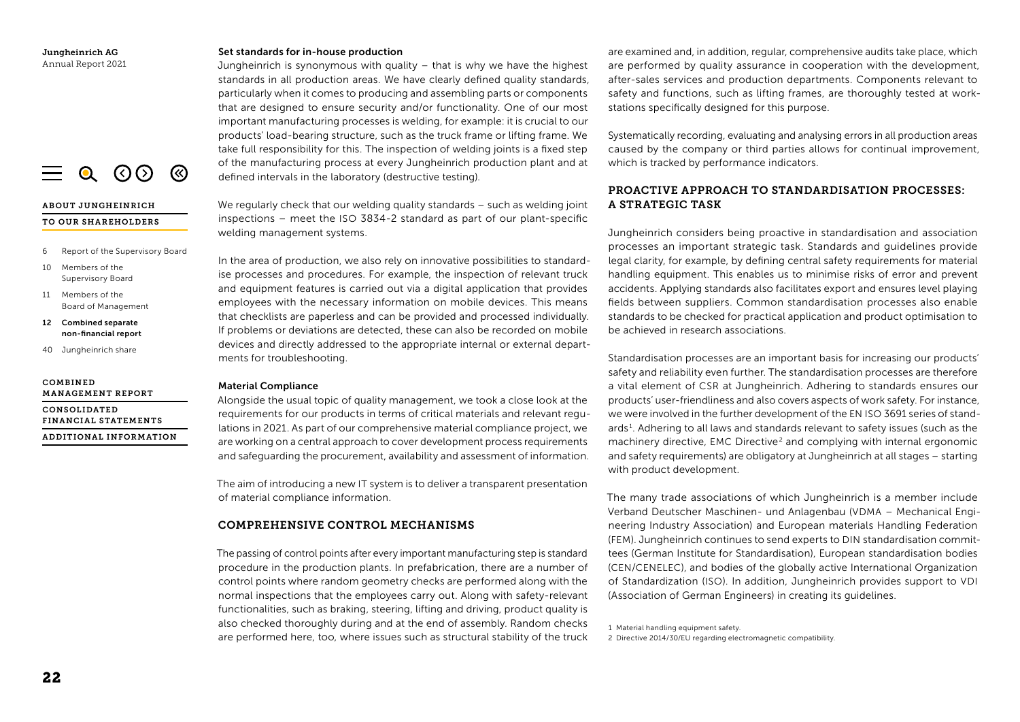#### Set standards for in-house production

Jungheinrich is synonymous with quality – that is why we have the highest standards in all production areas. We have clearly defined quality standards, particularly when it comes to producing and assembling parts or components that are designed to ensure security and/or functionality. One of our most important manufacturing processes is welding, for example: it is crucial to our products' load-bearing structure, such as the truck frame or lifting frame. We take full responsibility for this. The inspection of welding joints is a fixed step of the manufacturing process at every Jungheinrich production plant and at defined intervals in the laboratory (destructive testing).

We regularly check that our welding quality standards – such as welding joint inspections – meet the ISO 3834-2 standard as part of our plant-specific welding management systems.

In the area of production, we also rely on innovative possibilities to standardise processes and procedures. For example, the inspection of relevant truck and equipment features is carried out via a digital application that provides employees with the necessary information on mobile devices. This means that checklists are paperless and can be provided and processed individually. If problems or deviations are detected, these can also be recorded on mobile devices and directly addressed to the appropriate internal or external departments for troubleshooting.

## Material Compliance

Alongside the usual topic of quality management, we took a close look at the requirements for our products in terms of critical materials and relevant regulations in 2021. As part of our comprehensive material compliance project, we are working on a central approach to cover development process requirements and safeguarding the procurement, availability and assessment of information.

The aim of introducing a new IT system is to deliver a transparent presentation of material compliance information.

## COMPREHENSIVE CONTROL MECHANISMS

The passing of control points after every important manufacturing step is standard procedure in the production plants. In prefabrication, there are a number of control points where random geometry checks are performed along with the normal inspections that the employees carry out. Along with safety-relevant functionalities, such as braking, steering, lifting and driving, product quality is also checked thoroughly during and at the end of assembly. Random checks arso criecked moroughly during and at the end of assembly. Random criecks are performed here, too, where issues such as structural stability of the truck 2 Directive 2014/30/EU regarding elective 2014/30/EU regarding elect

are examined and, in addition, regular, comprehensive audits take place, which are performed by quality assurance in cooperation with the development, after-sales services and production departments. Components relevant to safety and functions, such as lifting frames, are thoroughly tested at workstations specifically designed for this purpose.

Systematically recording, evaluating and analysing errors in all production areas caused by the company or third parties allows for continual improvement, which is tracked by performance indicators.

## PROACTIVE APPROACH TO STANDARDISATION PROCESSES: A STRATEGIC TASK

Jungheinrich considers being proactive in standardisation and association processes an important strategic task. Standards and guidelines provide legal clarity, for example, by defining central safety requirements for material handling equipment. This enables us to minimise risks of error and prevent accidents. Applying standards also facilitates export and ensures level playing fields between suppliers. Common standardisation processes also enable standards to be checked for practical application and product optimisation to be achieved in research associations.

Standardisation processes are an important basis for increasing our products' safety and reliability even further. The standardisation processes are therefore a vital element of CSR at Jungheinrich. Adhering to standards ensures our products' user-friendliness and also covers aspects of work safety. For instance, we were involved in the further development of the EN ISO 3691 series of standards <sup>1</sup> . Adhering to all laws and standards relevant to safety issues (such as the machinery directive, EMC Directive<sup>2</sup> and complying with internal ergonomic and safety requirements) are obligatory at Jungheinrich at all stages – starting with product development.

The many trade associations of which Jungheinrich is a member include Verband Deutscher Maschinen- und Anlagenbau (VDMA – Mechanical Engineering Industry Association) and European materials Handling Federation (FEM). Jungheinrich continues to send experts to DIN standardisation committees (German Institute for Standardisation), European standardisation bodies (CEN/CENELEC), and bodies of the globally active International Organization of Standardization (ISO). In addition, Jungheinrich provides support to VDI (Association of German Engineers) in creating its guidelines.

2 Directive 2014/30/EU regarding electromagnetic compatibility.

## ABOUT JUNGHEINRICH TO OUR SHAREHOLDERS

- 6 Report of the Supervisory Board
- 10 Members of the Supervisory Board
- 11 Members of the Board of Management
- 12 Combined separate non-financial report
- 40 Jungheinrich share

#### COMBINED MANAGEMENT REPORT

CONSOLIDATED FINANCIAL STATEMENTS ADDITIONAL INFORMATION

 $\equiv$  0 (0) (8)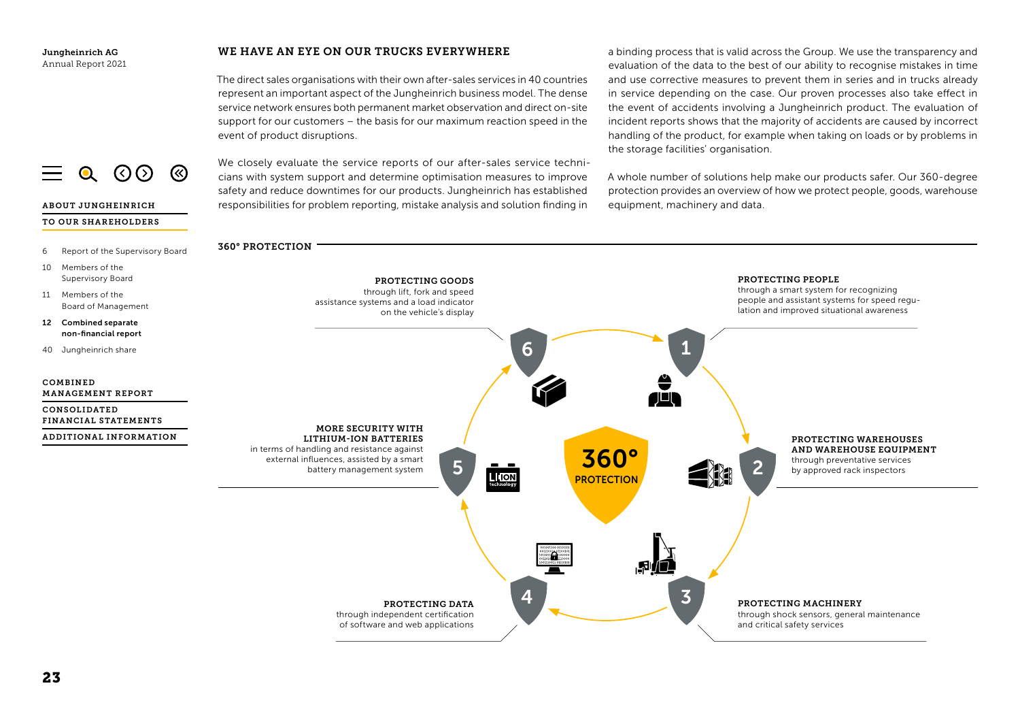ABOUT JUNGHEINRICH TO OUR SHAREHOLDERS

 $Q$  (  $Q$   $Q$  ) (  $Q$ 

## WE HAVE AN EYE ON OUR TRUCKS EVERYWHERE

The direct sales organisations with their own after-sales services in 40 countries represent an important aspect of the Jungheinrich business model. The dense service network ensures both permanent market observation and direct on-site support for our customers – the basis for our maximum reaction speed in the event of product disruptions.

We closely evaluate the service reports of our after-sales service technicians with system support and determine optimisation measures to improve safety and reduce downtimes for our products. Jungheinrich has established responsibilities for problem reporting, mistake analysis and solution finding in

a binding process that is valid across the Group. We use the transparency and evaluation of the data to the best of our ability to recognise mistakes in time and use corrective measures to prevent them in series and in trucks already in service depending on the case. Our proven processes also take effect in the event of accidents involving a Jungheinrich product. The evaluation of incident reports shows that the majority of accidents are caused by incorrect handling of the product, for example when taking on loads or by problems in the storage facilities' organisation.

A whole number of solutions help make our products safer. Our 360-degree protection provides an overview of how we protect people, goods, warehouse equipment, machinery and data.

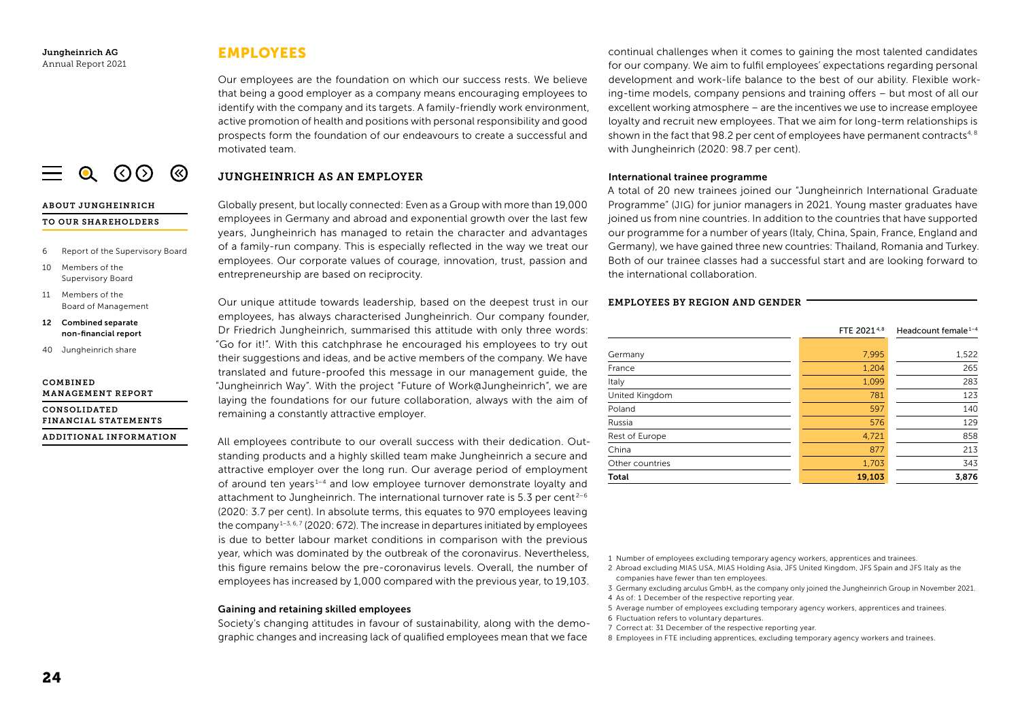ABOUT JUNGHEINRICH TO OUR SHAREHOLDERS

10 Members of the Supervisory Board 11 Members of the

COMBINED

6 Report of the Supervisory Board

 $\equiv$  0 (0) (8)

Board of Management 12 Combined separate non-financial report 40 Jungheinrich share

MANAGEMENT REPORT CONSOLIDATED

FINANCIAL STATEMENTS ADDITIONAL INFORMATION

## EMPLOYEES

Our employees are the foundation on which our success rests. We believe that being a good employer as a company means encouraging employees to identify with the company and its targets. A family-friendly work environment, active promotion of health and positions with personal responsibility and good prospects form the foundation of our endeavours to create a successful and motivated team.

## JUNGHEINRICH AS AN EMPLOYER

Globally present, but locally connected: Even as a Group with more than 19,000 employees in Germany and abroad and exponential growth over the last few years, Jungheinrich has managed to retain the character and advantages of a family-run company. This is especially reflected in the way we treat our employees. Our corporate values of courage, innovation, trust, passion and entrepreneurship are based on reciprocity.

Our unique attitude towards leadership, based on the deepest trust in our employees, has always characterised Jungheinrich. Our company founder, Dr Friedrich Jungheinrich, summarised this attitude with only three words: "Go for it!". With this catchphrase he encouraged his employees to try out their suggestions and ideas, and be active members of the company. We have translated and future-proofed this message in our management guide, the "Jungheinrich Way". With the project "Future of Work@Jungheinrich", we are laying the foundations for our future collaboration, always with the aim of remaining a constantly attractive employer.

All employees contribute to our overall success with their dedication. Outstanding products and a highly skilled team make Jungheinrich a secure and attractive employer over the long run. Our average period of employment of around ten years<sup>1-4</sup> and low employee turnover demonstrate loyalty and attachment to Jungheinrich. The international turnover rate is 5.3 per cent<sup>2-6</sup> (2020: 3.7 per cent). In absolute terms, this equates to 970 employees leaving the company<sup>1-3, 6, 7</sup> (2020: 672). The increase in departures initiated by employees is due to better labour market conditions in comparison with the previous year, which was dominated by the outbreak of the coronavirus. Nevertheless, this figure remains below the pre-coronavirus levels. Overall, the number of employees has increased by 1,000 compared with the previous year, to 19,103.

## Gaining and retaining skilled employees

Society's changing attitudes in favour of sustainability, along with the demographic changes and increasing lack of qualified employees mean that we face

continual challenges when it comes to gaining the most talented candidates for our company. We aim to fulfil employees' expectations regarding personal development and work-life balance to the best of our ability. Flexible working-time models, company pensions and training offers – but most of all our excellent working atmosphere – are the incentives we use to increase employee loyalty and recruit new employees. That we aim for long-term relationships is shown in the fact that 98.2 per cent of employees have permanent contracts<sup>4,8</sup> with Jungheinrich (2020: 98.7 per cent).

## International trainee programme

A total of 20 new trainees joined our "Jungheinrich International Graduate Programme" (JIG) for junior managers in 2021. Young master graduates have joined us from nine countries. In addition to the countries that have supported our programme for a number of years (Italy, China, Spain, France, England and Germany), we have gained three new countries: Thailand, Romania and Turkey. Both of our trainee classes had a successful start and are looking forward to the international collaboration.

## EMPLOYEES BY REGION AND GENDER

| FTE 20214.8 | Headcount female <sup>1-4</sup> |
|-------------|---------------------------------|
|             |                                 |
|             | 1,522                           |
| 1,204       | 265                             |
| 1,099       | 283                             |
| 781         | 123                             |
| 597         | 140                             |
| 576         | 129                             |
| 4,721       | 858                             |
| 877         | 213                             |
| 1,703       | 343                             |
| 19,103      | 3,876                           |
|             | 7,995                           |

1 Number of employees excluding temporary agency workers, apprentices and trainees.

- 2 Abroad excluding MIAS USA, MIAS Holding Asia, JFS United Kingdom, JFS Spain and JFS Italy as the companies have fewer than ten employees.
- 3 Germany excluding arculus GmbH, as the company only joined the Jungheinrich Group in November 2021.
- 4 As of: 1 December of the respective reporting year.
- 5 Average number of employees excluding temporary agency workers, apprentices and trainees.
- 6 Fluctuation refers to voluntary departures.
- 7 Correct at: 31 December of the respective reporting year.
- 8 Employees in FTE including apprentices, excluding temporary agency workers and trainees.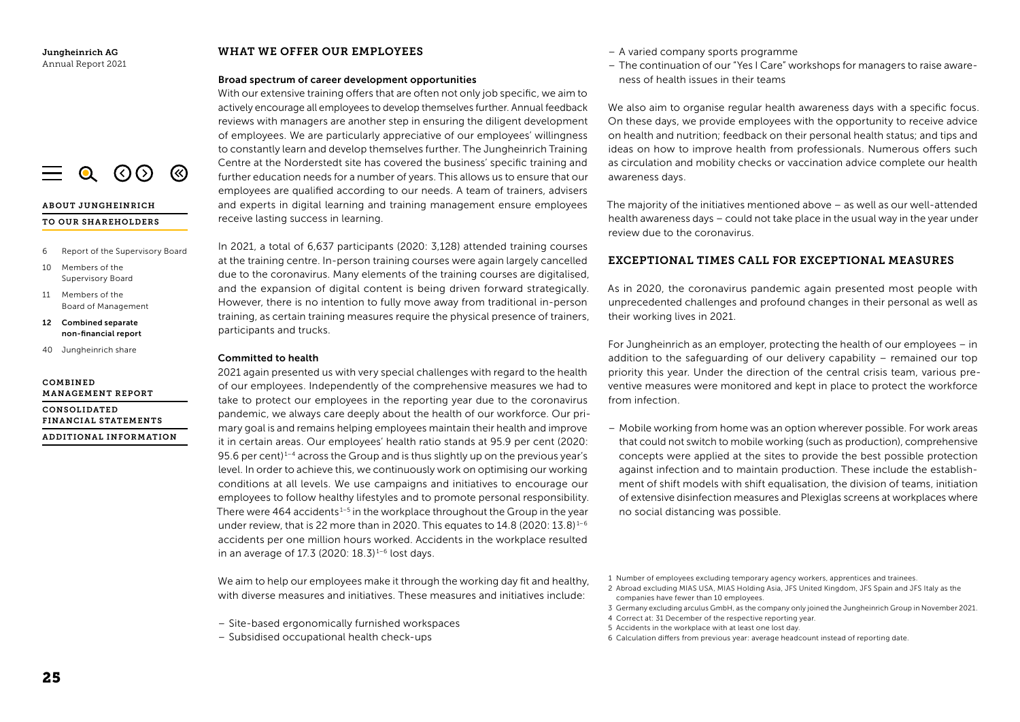ABOUT JUNGHEINRICH TO OUR SHAREHOLDERS

10 Members of the Supervisory Board 11 Members of the

COMBINED

6 Report of the Supervisory Board

 $\equiv$  0 (0) (8)

Board of Management 12 Combined separate non-financial report 40 Jungheinrich share

MANAGEMENT REPORT CONSOLIDATED

FINANCIAL STATEMENTS ADDITIONAL INFORMATION

## WHAT WE OFFER OUR EMPLOYEES

#### Broad spectrum of career development opportunities

With our extensive training offers that are often not only job specific, we aim to actively encourage all employees to develop themselves further. Annual feedback reviews with managers are another step in ensuring the diligent development of employees. We are particularly appreciative of our employees' willingness to constantly learn and develop themselves further. The Jungheinrich Training Centre at the Norderstedt site has covered the business' specific training and further education needs for a number of years. This allows us to ensure that our employees are qualified according to our needs. A team of trainers, advisers and experts in digital learning and training management ensure employees receive lasting success in learning.

In 2021, a total of 6,637 participants (2020: 3,128) attended training courses at the training centre. In-person training courses were again largely cancelled due to the coronavirus. Many elements of the training courses are digitalised, and the expansion of digital content is being driven forward strategically. However, there is no intention to fully move away from traditional in-person training, as certain training measures require the physical presence of trainers, participants and trucks.

#### Committed to health

2021 again presented us with very special challenges with regard to the health of our employees. Independently of the comprehensive measures we had to take to protect our employees in the reporting year due to the coronavirus pandemic, we always care deeply about the health of our workforce. Our primary goal is and remains helping employees maintain their health and improve it in certain areas. Our employees' health ratio stands at 95.9 per cent (2020: 95.6 per cent) $1-4$  across the Group and is thus slightly up on the previous year's level. In order to achieve this, we continuously work on optimising our working conditions at all levels. We use campaigns and initiatives to encourage our employees to follow healthy lifestyles and to promote personal responsibility. There were  $464$  accidents<sup>1-5</sup> in the workplace throughout the Group in the year under review, that is 22 more than in 2020. This equates to  $14.8$  (2020:  $13.8$ )<sup>1-6</sup> accidents per one million hours worked. Accidents in the workplace resulted in an average of 17.3 (2020:  $18.3$ )<sup>1-6</sup> lost days.

We aim to help our employees make it through the working day fit and healthy, with diverse measures and initiatives. These measures and initiatives include:

- Site-based ergonomically furnished workspaces
- Subsidised occupational health check-ups
- A varied company sports programme
- The continuation of our "Yes I Care" workshops for managers to raise awareness of health issues in their teams

We also aim to organise regular health awareness days with a specific focus. On these days, we provide employees with the opportunity to receive advice on health and nutrition; feedback on their personal health status; and tips and ideas on how to improve health from professionals. Numerous offers such as circulation and mobility checks or vaccination advice complete our health awareness days.

The majority of the initiatives mentioned above – as well as our well-attended health awareness days – could not take place in the usual way in the year under review due to the coronavirus.

## EXCEPTIONAL TIMES CALL FOR EXCEPTIONAL MEASURES

As in 2020, the coronavirus pandemic again presented most people with unprecedented challenges and profound changes in their personal as well as their working lives in 2021.

For Jungheinrich as an employer, protecting the health of our employees – in addition to the safeguarding of our delivery capability – remained our top priority this year. Under the direction of the central crisis team, various preventive measures were monitored and kept in place to protect the workforce from infection.

– Mobile working from home was an option wherever possible. For work areas that could not switch to mobile working (such as production), comprehensive concepts were applied at the sites to provide the best possible protection against infection and to maintain production. These include the establishment of shift models with shift equalisation, the division of teams, initiation of extensive disinfection measures and Plexiglas screens at workplaces where no social distancing was possible.

2 Abroad excluding MIAS USA, MIAS Holding Asia, JFS United Kingdom, JFS Spain and JFS Italy as the companies have fewer than 10 employees.

- 4 Correct at: 31 December of the respective reporting year.
- 5 Accidents in the workplace with at least one lost day.
- 6 Calculation differs from previous year: average headcount instead of reporting date.

<sup>1</sup> Number of employees excluding temporary agency workers, apprentices and trainees.

<sup>3</sup> Germany excluding arculus GmbH, as the company only joined the Jungheinrich Group in November 2021.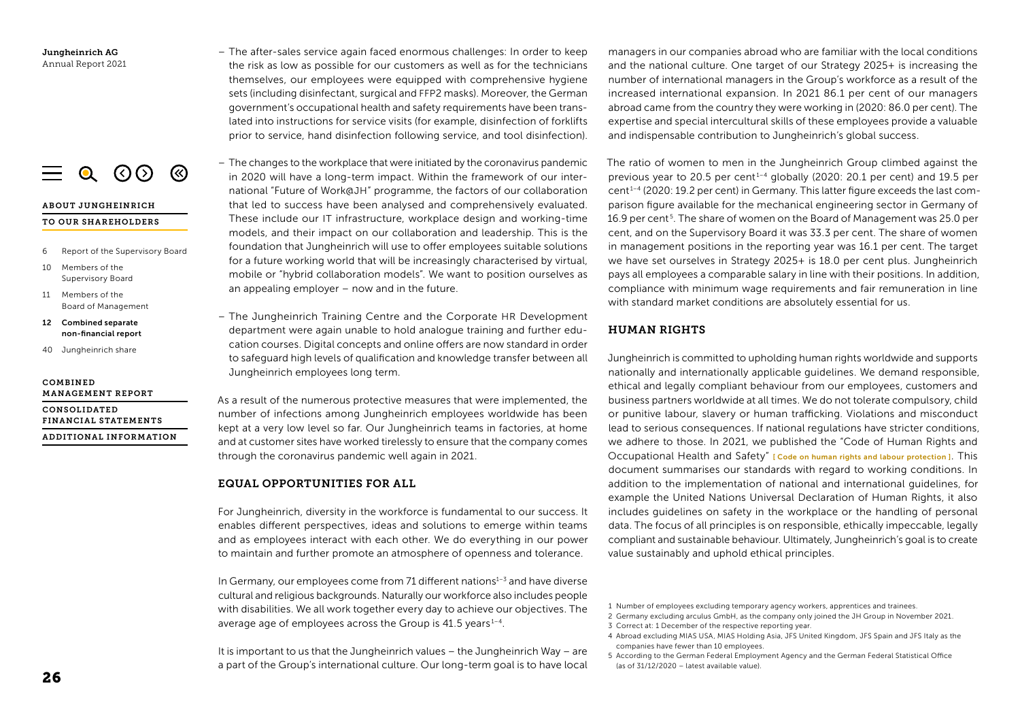$\equiv$  0 (0) (8)

## ABOUT JUNGHEINRICH

#### TO OUR SHAREHOLDERS

- 6 Report of the Supervisory Board
- 10 Members of the Supervisory Board
- 11 Members of the Board of Management
- 12 Combined separate non-financial report
- 40 Jungheinrich share

#### COMBINED MANAGEMENT REPORT

CONSOLIDATED FINANCIAL STATEMENTS ADDITIONAL INFORMATION

- The after-sales service again faced enormous challenges: In order to keep the risk as low as possible for our customers as well as for the technicians themselves, our employees were equipped with comprehensive hygiene sets (including disinfectant, surgical and FFP2 masks). Moreover, the German government's occupational health and safety requirements have been translated into instructions for service visits (for example, disinfection of forklifts prior to service, hand disinfection following service, and tool disinfection).
- The changes to the workplace that were initiated by the coronavirus pandemic in 2020 will have a long-term impact. Within the framework of our international "Future of Work@JH" programme, the factors of our collaboration that led to success have been analysed and comprehensively evaluated. These include our IT infrastructure, workplace design and working-time models, and their impact on our collaboration and leadership. This is the foundation that Jungheinrich will use to offer employees suitable solutions for a future working world that will be increasingly characterised by virtual, mobile or "hybrid collaboration models". We want to position ourselves as an appealing employer – now and in the future.
- The Jungheinrich Training Centre and the Corporate HR Development department were again unable to hold analogue training and further education courses. Digital concepts and online offers are now standard in order to safeguard high levels of qualification and knowledge transfer between all Jungheinrich employees long term.

As a result of the numerous protective measures that were implemented, the number of infections among Jungheinrich employees worldwide has been kept at a very low level so far. Our Jungheinrich teams in factories, at home and at customer sites have worked tirelessly to ensure that the company comes through the coronavirus pandemic well again in 2021.

## EQUAL OPPORTUNITIES FOR ALL

For Jungheinrich, diversity in the workforce is fundamental to our success. It enables different perspectives, ideas and solutions to emerge within teams and as employees interact with each other. We do everything in our power to maintain and further promote an atmosphere of openness and tolerance.

In Germany, our employees come from 71 different nations $1-3$  and have diverse cultural and religious backgrounds. Naturally our workforce also includes people with disabilities. We all work together every day to achieve our objectives. The average age of employees across the Group is  $41.5$  years<sup> $1-4$ </sup>.

It is important to us that the Jungheinrich values – the Jungheinrich Way – are a part of the Group's international culture. Our long-term goal is to have local

managers in our companies abroad who are familiar with the local conditions and the national culture. One target of our Strategy 2025+ is increasing the number of international managers in the Group's workforce as a result of the increased international expansion. In 2021 86.1 per cent of our managers abroad came from the country they were working in (2020: 86.0 per cent). The expertise and special intercultural skills of these employees provide a valuable and indispensable contribution to Jungheinrich's global success.

The ratio of women to men in the Jungheinrich Group climbed against the previous year to 20.5 per cent<sup>1-4</sup> globally (2020: 20.1 per cent) and 19.5 per cent 1–4 (2020: 19.2 per cent) in Germany. This latter figure exceeds the last comparison figure available for the mechanical engineering sector in Germany of 16.9 per cent<sup>5</sup>. The share of women on the Board of Management was 25.0 per cent, and on the Supervisory Board it was 33.3 per cent. The share of women in management positions in the reporting year was 16.1 per cent. The target we have set ourselves in Strategy 2025+ is 18.0 per cent plus. Jungheinrich pays all employees a comparable salary in line with their positions. In addition, compliance with minimum wage requirements and fair remuneration in line with standard market conditions are absolutely essential for us.

## HUMAN RIGHTS

Jungheinrich is committed to upholding human rights worldwide and supports nationally and internationally applicable guidelines. We demand responsible, ethical and legally compliant behaviour from our employees, customers and business partners worldwide at all times. We do not tolerate compulsory, child or punitive labour, slavery or human trafficking. Violations and misconduct lead to serious consequences. If national regulations have stricter conditions, we adhere to those. In 2021, we published the "Code of Human Rights and Occupational Health and Safety" [ Code on human rights and labour protection]. This document summarises our standards with regard to working conditions. In addition to the implementation of national and international guidelines, for example the United Nations Universal Declaration of Human Rights, it also includes guidelines on safety in the workplace or the handling of personal data. The focus of all principles is on responsible, ethically impeccable, legally compliant and sustainable behaviour. Ultimately, Jungheinrich's goal is to create value sustainably and uphold ethical principles.

<sup>1</sup> Number of employees excluding temporary agency workers, apprentices and trainees.

<sup>2</sup> Germany excluding arculus GmbH, as the company only joined the JH Group in November 2021.

<sup>3</sup> Correct at: 1 December of the respective reporting year.

<sup>4</sup> Abroad excluding MIAS USA, MIAS Holding Asia, JFS United Kingdom, JFS Spain and JFS Italy as the companies have fewer than 10 employees.

<sup>5</sup> According to the German Federal Employment Agency and the German Federal Statistical Office (as of 31/12/2020 – latest available value).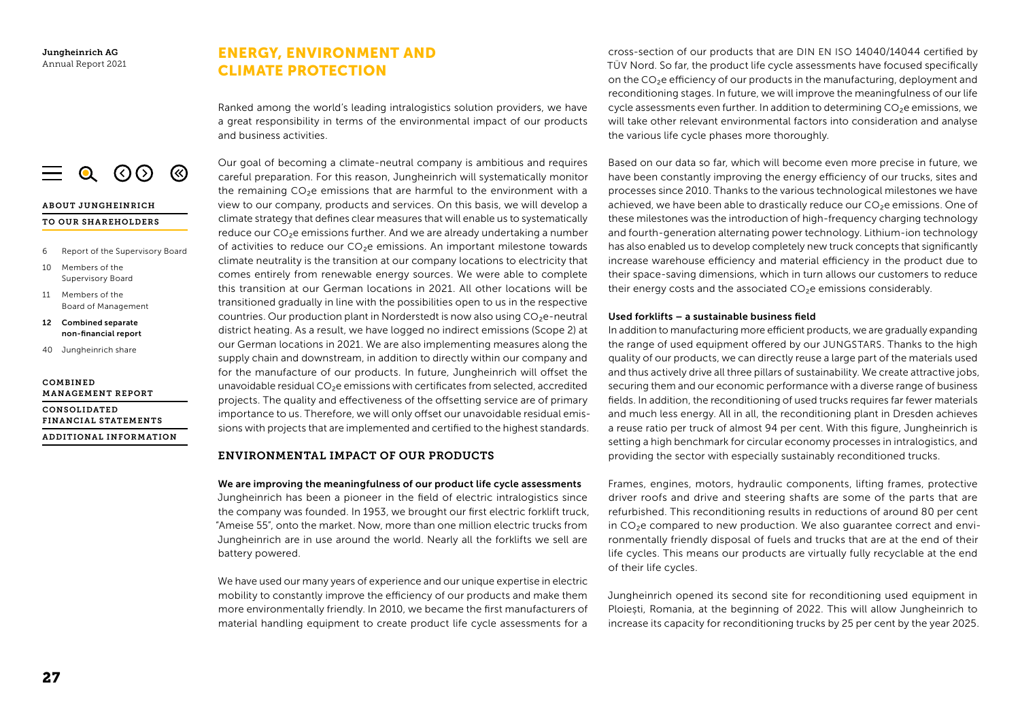# ENERGY, ENVIRONMENT AND CLIMATE PROTECTION

Ranked among the world's leading intralogistics solution providers, we have a great responsibility in terms of the environmental impact of our products and business activities.

Our goal of becoming a climate-neutral company is ambitious and requires careful preparation. For this reason, Jungheinrich will systematically monitor the remaining  $CO<sub>2</sub>e$  emissions that are harmful to the environment with a view to our company, products and services. On this basis, we will develop a climate strategy that defines clear measures that will enable us to systematically reduce our CO<sub>2</sub>e emissions further. And we are already undertaking a number of activities to reduce our CO₂e emissions. An important milestone towards climate neutrality is the transition at our company locations to electricity that comes entirely from renewable energy sources. We were able to complete this transition at our German locations in 2021. All other locations will be transitioned gradually in line with the possibilities open to us in the respective countries. Our production plant in Norderstedt is now also using CO₂e-neutral district heating. As a result, we have logged no indirect emissions (Scope 2) at our German locations in 2021. We are also implementing measures along the supply chain and downstream, in addition to directly within our company and for the manufacture of our products. In future, Jungheinrich will offset the unavoidable residual  $CO<sub>2</sub>e$  emissions with certificates from selected, accredited projects. The quality and effectiveness of the offsetting service are of primary importance to us. Therefore, we will only offset our unavoidable residual emissions with projects that are implemented and certified to the highest standards.

## ENVIRONMENTAL IMPACT OF OUR PRODUCTS

We are improving the meaningfulness of our product life cycle assessments Jungheinrich has been a pioneer in the field of electric intralogistics since the company was founded. In 1953, we brought our first electric forklift truck, "Ameise 55", onto the market. Now, more than one million electric trucks from Jungheinrich are in use around the world. Nearly all the forklifts we sell are battery powered.

We have used our many years of experience and our unique expertise in electric mobility to constantly improve the efficiency of our products and make them more environmentally friendly. In 2010, we became the first manufacturers of material handling equipment to create product life cycle assessments for a

cross-section of our products that are DIN EN ISO 14040/14044 certified by TÜV Nord. So far, the product life cycle assessments have focused specifically on the CO<sub>2</sub>e efficiency of our products in the manufacturing, deployment and reconditioning stages. In future, we will improve the meaningfulness of our life cycle assessments even further. In addition to determining CO<sub>2</sub>e emissions, we will take other relevant environmental factors into consideration and analyse the various life cycle phases more thoroughly.

Based on our data so far, which will become even more precise in future, we have been constantly improving the energy efficiency of our trucks, sites and processes since 2010. Thanks to the various technological milestones we have achieved, we have been able to drastically reduce our CO<sub>2</sub>e emissions. One of these milestones was the introduction of high-frequency charging technology and fourth-generation alternating power technology. Lithium-ion technology has also enabled us to develop completely new truck concepts that significantly increase warehouse efficiency and material efficiency in the product due to their space-saving dimensions, which in turn allows our customers to reduce their energy costs and the associated CO<sub>2</sub>e emissions considerably.

## Used forklifts – a sustainable business field

In addition to manufacturing more efficient products, we are gradually expanding the range of used equipment offered by our JUNGSTARS. Thanks to the high quality of our products, we can directly reuse a large part of the materials used and thus actively drive all three pillars of sustainability. We create attractive jobs, securing them and our economic performance with a diverse range of business fields. In addition, the reconditioning of used trucks requires far fewer materials and much less energy. All in all, the reconditioning plant in Dresden achieves a reuse ratio per truck of almost 94 per cent. With this figure, Jungheinrich is setting a high benchmark for circular economy processes in intralogistics, and providing the sector with especially sustainably reconditioned trucks.

Frames, engines, motors, hydraulic components, lifting frames, protective driver roofs and drive and steering shafts are some of the parts that are refurbished. This reconditioning results in reductions of around 80 per cent in CO<sub>2</sub>e compared to new production. We also quarantee correct and environmentally friendly disposal of fuels and trucks that are at the end of their life cycles. This means our products are virtually fully recyclable at the end of their life cycles.

Jungheinrich opened its second site for reconditioning used equipment in Ploiești, Romania, at the beginning of 2022. This will allow Jungheinrich to increase its capacity for reconditioning trucks by 25 per cent by the year 2025.

# $\equiv$  0 (0) (8)

# ABOUT JUNGHEINRICH

## TO OUR SHAREHOLDERS

- 6 Report of the Supervisory Board
- 10 Members of the Supervisory Board
- 11 Members of the Board of Management
- 12 Combined separate non-financial report
- 40 Jungheinrich share

#### COMBINED MANAGEMENT REPORT

CONSOLIDATED FINANCIAL STATEMENTS ADDITIONAL INFORMATION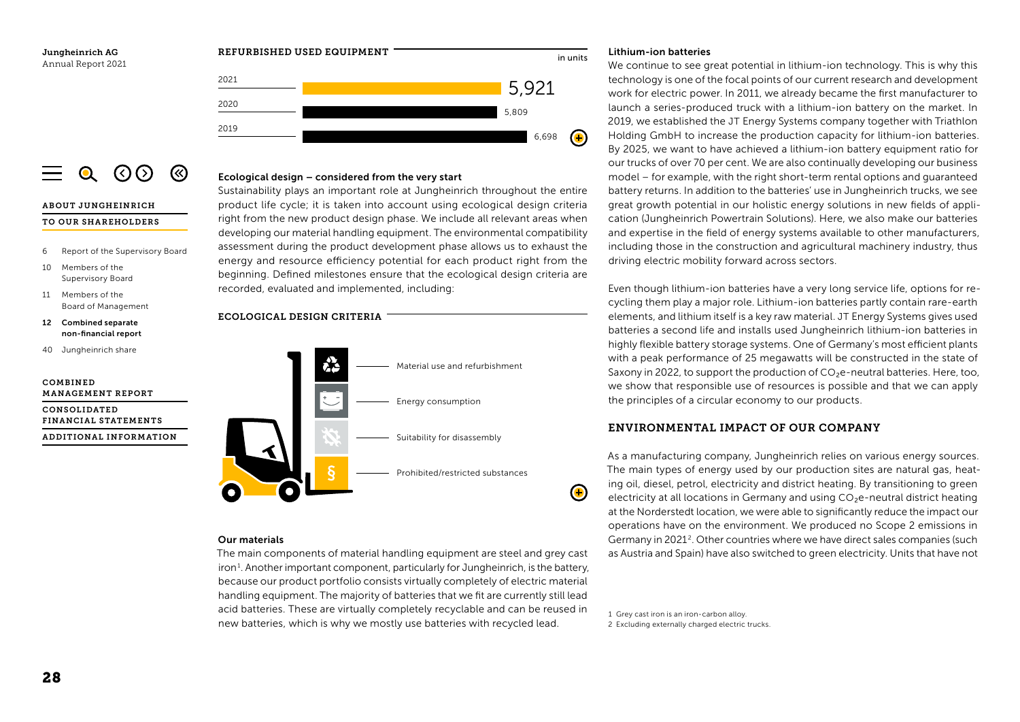

#### <span id="page-16-0"></span> $\Omega$  (  $\Omega$   $\Omega$  ) (⊗

#### ABOUT JUNGHEINRICH

#### TO OUR SHAREHOLDERS

- 6 Report of the Supervisory Board
- 10 Members of the Supervisory Board
- 11 Members of the Board of Management
- 12 Combined separate non-financial report
- 40 Jungheinrich share

## COMBINED MANAGEMENT REPORT

CONSOLIDATED FINANCIAL STATEMENTS ADDITIONAL INFORMATION



Sustainability plays an important role at Jungheinrich throughout the entire product life cycle; it is taken into account using ecological design criteria right from the new product design phase. We include all relevant areas when developing our material handling equipment. The environmental compatibility assessment during the product development phase allows us to exhaust the energy and resource efficiency potential for each product right from the beginning. Defined milestones ensure that the ecological design criteria are recorded, evaluated and implemented, including:



## Our materials

The main components of material handling equipment are steel and grey cast iron<sup>1</sup>. Another important component, particularly for Jungheinrich, is the battery, because our product portfolio consists virtually completely of electric material handling equipment. The majority of batteries that we fit are currently still lead acid batteries. These are virtually completely recyclable and can be reused in acid batteries. These are virtually completely recyclable and can be reused in  $\frac{1}{1}$  Grey cast iron is an iron-carbon alloy.<br>1 Grey batteries, which is why we mostly use batteries with recycled lead. 2 Excluding extern

## Lithium-ion batteries

We continue to see great potential in lithium-ion technology. This is why this technology is one of the focal points of our current research and development work for electric power. In 2011, we already became the first manufacturer to launch a series-produced truck with a lithium-ion battery on the market. In 2019, we established the JT Energy Systems company together with Triathlon Holding GmbH to increase the production capacity for lithium-ion batteries. By 2025, we want to have achieved a lithium-ion battery equipment ratio for our trucks of over 70 per cent. We are also continually developing our business model – for example, with the right short-term rental options and guaranteed battery returns. In addition to the batteries' use in Jungheinrich trucks, we see great growth potential in our holistic energy solutions in new fields of application (Jungheinrich Powertrain Solutions). Here, we also make our batteries and expertise in the field of energy systems available to other manufacturers, including those in the construction and agricultural machinery industry, thus driving electric mobility forward across sectors.

Even though lithium-ion batteries have a very long service life, options for recycling them play a major role. Lithium-ion batteries partly contain rare-earth elements, and lithium itself is a key raw material. JT Energy Systems gives used batteries a second life and installs used Jungheinrich lithium-ion batteries in highly flexible battery storage systems. One of Germany's most efficient plants with a peak performance of 25 megawatts will be constructed in the state of Saxony in 2022, to support the production of  $CO<sub>2</sub>e$ -neutral batteries. Here, too, we show that responsible use of resources is possible and that we can apply the principles of a circular economy to our products.

## ENVIRONMENTAL IMPACT OF OUR COMPANY

As a manufacturing company, Jungheinrich relies on various energy sources. The main types of energy used by our production sites are natural gas, heating oil, diesel, petrol, electricity and district heating. By transitioning to green electricity at all locations in Germany and using CO<sub>2</sub>e-neutral district heating at the Norderstedt location, we were able to significantly reduce the impact our operations have on the environment. We produced no Scope 2 emissions in Germany in 2021<sup>2</sup>. Other countries where we have direct sales companies (such as Austria and Spain) have also switched to green electricity. Units that have not

2 Excluding externally charged electric trucks.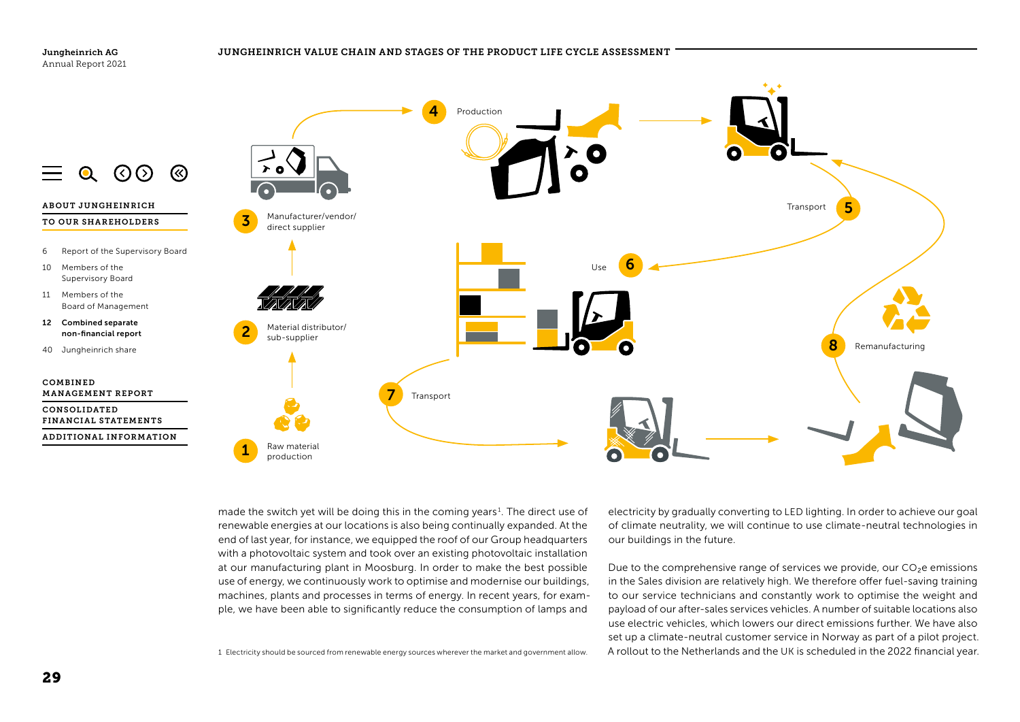

made the switch yet will be doing this in the coming years<sup>1</sup>. The direct use of renewable energies at our locations is also being continually expanded. At the end of last year, for instance, we equipped the roof of our Group headquarters with a photovoltaic system and took over an existing photovoltaic installation at our manufacturing plant in Moosburg. In order to make the best possible use of energy, we continuously work to optimise and modernise our buildings, machines, plants and processes in terms of energy. In recent years, for example, we have been able to significantly reduce the consumption of lamps and

1 Electricity should be sourced from renewable energy sources wherever the market and government allow.

electricity by gradually converting to LED lighting. In order to achieve our goal of climate neutrality, we will continue to use climate-neutral technologies in our buildings in the future.

Due to the comprehensive range of services we provide, our  $CO<sub>2</sub>e$  emissions in the Sales division are relatively high. We therefore offer fuel-saving training to our service technicians and constantly work to optimise the weight and payload of our after-sales services vehicles. A number of suitable locations also use electric vehicles, which lowers our direct emissions further. We have also set up a climate-neutral customer service in Norway as part of a pilot project. A rollout to the Netherlands and the UK is scheduled in the 2022 financial year.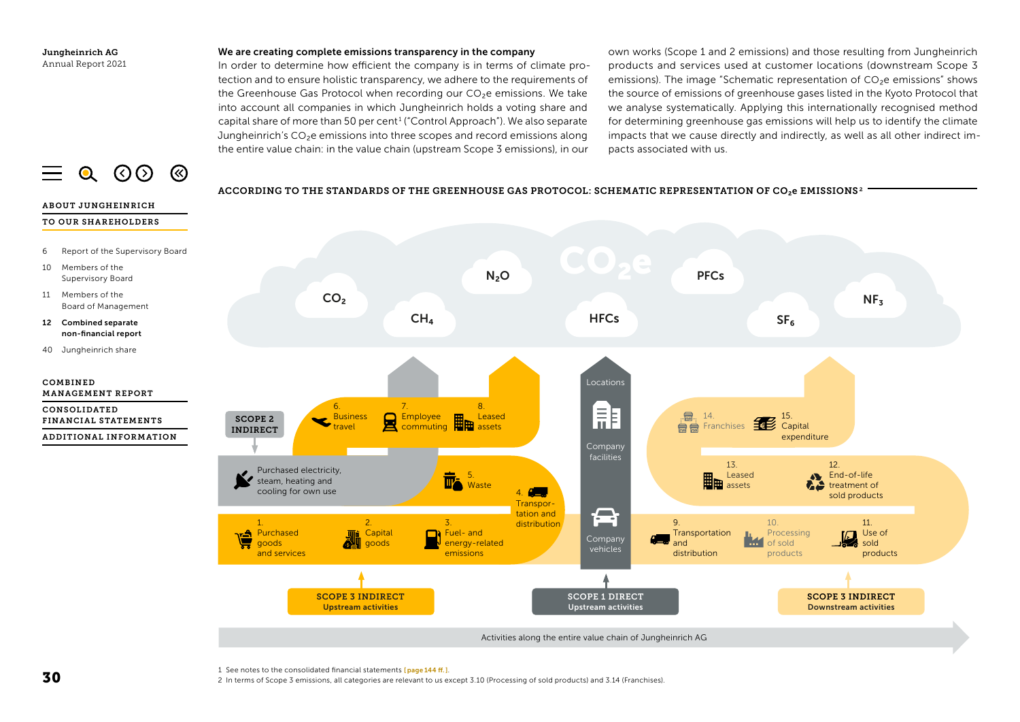#### We are creating complete emissions transparency in the company

In order to determine how efficient the company is in terms of climate protection and to ensure holistic transparency, we adhere to the requirements of the Greenhouse Gas Protocol when recording our CO<sub>2</sub>e emissions. We take into account all companies in which Jungheinrich holds a voting share and capital share of more than 50 per cent<sup>1</sup> ("Control Approach"). We also separate Jungheinrich's  $CO<sub>2</sub>e$  emissions into three scopes and record emissions along the entire value chain: in the value chain (upstream Scope 3 emissions), in our

own works (Scope 1 and 2 emissions) and those resulting from Jungheinrich products and services used at customer locations (downstream Scope 3 emissions). The image "Schematic representation of CO₂e emissions" shows the source of emissions of greenhouse gases listed in the Kyoto Protocol that we analyse systematically. Applying this internationally recognised method for determining greenhouse gas emissions will help us to identify the climate impacts that we cause directly and indirectly, as well as all other indirect impacts associated with us.

<span id="page-18-0"></span>

#### ACCORDING TO THE STANDARDS OF THE STANDARDS OF THE GREENHOUSE GAS PROTOCOL: SCHEMATIC REPRESENTATION OF CO ABOUT JUNGHEINRICH TO OUR SHAREHOLDERS 6 Report of the Supervisory Board 10 Members of the N₂O **PFCs** Supervisory Board 11 Members of the CO<sub>2</sub>  $NF<sub>z</sub>$ Board of Management  $HFCs$  SF<sub>6</sub>  $CH<sub>4</sub>$ 12 Combined separate non-financial report 40 Jungheinrich share COMBINED Locations MANAGEMENT REPORT 8.<br>Leased 6. 7. CONSOLIDATED A, Business 且  $\frac{1}{2}$ . 14. 15. SCOPE 2 Employee Leased FINANCIAL STATEMENTS  $\mathcal{L}$   $\mathcal{L}$   $\mathcal{L}$   $\mathcal{L}$   $\mathcal{L}$   $\mathcal{L}$   $\mathcal{L}$   $\mathcal{L}$   $\mathcal{L}$   $\mathcal{L}$   $\mathcal{L}$   $\mathcal{L}$   $\mathcal{L}$   $\mathcal{L}$   $\mathcal{L}$   $\mathcal{L}$   $\mathcal{L}$   $\mathcal{L}$   $\mathcal{L}$   $\mathcal{L}$   $\mathcal{L}$   $\mathcal{L}$   $\mathcal{L}$   $\mathcal{L}$   $\mathcal{$  $\mathbf{F}$  Franchises travel INDIRECT commuting assets ADDITIONAL INFORMATION expenditure Company facilities 13. 12. Purchased electricity, 5. Leased End-of-life steam, heating and Waste assets treatment of cooling for own use A<sub>3</sub> 4. sold products **Transpor-** $\qquad \qquad \Box$ tation and 2. 3. 9. 10. 11. 1. distribution Fuel- and **Capital Transportation** Processing Use of 川 Purchased Company IM 1 energy-related and of sold sold goods goods vehicles and services emissions distribution products products SCOPE 3 INDIRECT SCOPE 1 DIRECT SCOPE 3 INDIRECT Upstream activities Upstream activities Downstream activities Activities along the entire value chain of Jungheinrich AG

ACCORDING TO THE STANDARDS OF THE GREENHOUSE GAS PROTOCOL: SCHEMATIC REPRESENTATION OF CO<sub>2</sub>e EMISSIONS<sup>2</sup>

#### 1 See notes to the consolidated financial statements [[page](#page--1-0) 144 ff.].

2 In terms of Scope 3 emissions, all categories are relevant to us except 3.10 (Processing of sold products) and 3.14 (Franchises).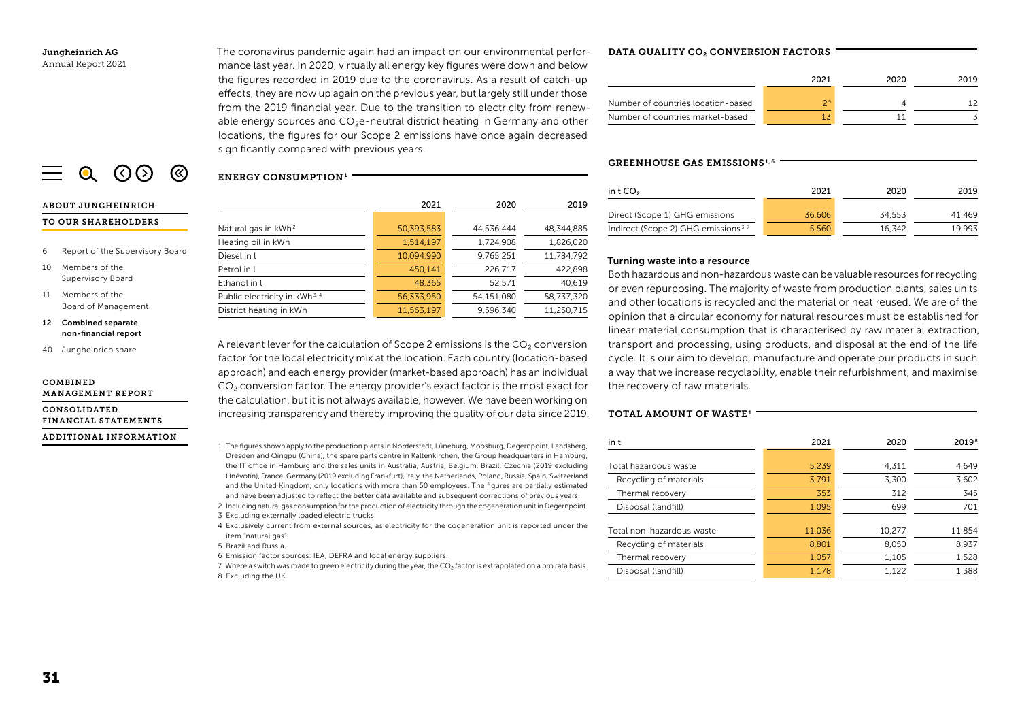The coronavirus pandemic again had an impact on our environmental performance last year. In 2020, virtually all energy key figures were down and below the figures recorded in 2019 due to the coronavirus. As a result of catch-up effects, they are now up again on the previous year, but largely still under those from the 2019 financial year. Due to the transition to electricity from renewable energy sources and CO<sub>2</sub>e-neutral district heating in Germany and other locations, the figures for our Scope 2 emissions have once again decreased significantly compared with previous years.

# $\equiv$  0 (0) (8)

#### ABOUT JUNGHEINRICH

#### TO OUR SHAREHOLDERS

- 6 Report of the Supervisory Board
- 10 Members of the Supervisory Board
- 11 Members of the Board of Management
- 12 Combined separate non-financial report
- 40 Jungheinrich share

#### COMBINED MANAGEMENT REPORT

CONSOLIDATED FINANCIAL STATEMENTS

## ADDITIONAL INFORMATION

ENERGY CONSUMPTION<sup>1</sup> 2021 2020 2019 Natural gas in kWh2 50,393,583 44,536,444 48,344,885 Heating oil in kWh 1,514,197 1,724,908 1,826,020 Diesel in l 10,094,990 9,765,251 11,784,792 Petrol in l 450,141 226,717 422,898 Ethanol in l 48,365 52,571 40,619 Public electricity in kWh<sup>3,4</sup> 56,333,950 54,151,080 58,737,320

A relevant lever for the calculation of Scope 2 emissions is the CO<sub>2</sub> conversion factor for the local electricity mix at the location. Each country (location-based approach) and each energy provider (market-based approach) has an individual CO₂ conversion factor. The energy provider's exact factor is the most exact for the calculation, but it is not always available, however. We have been working on increasing transparency and thereby improving the quality of our data since 2019.

District heating in kWh 11,563,197 9,596,340 11,250,715

- 1 The figures shown apply to the production plants in Norderstedt, Lüneburg, Moosburg, Degernpoint, Landsberg, Dresden and Qingpu (China), the spare parts centre in Kaltenkirchen, the Group headquarters in Hamburg, the IT office in Hamburg and the sales units in Australia, Austria, Belgium, Brazil, Czechia (2019 excluding Hněvotín), France, Germany (2019 excluding Frankfurt), Italy, the Netherlands, Poland, Russia, Spain, Switzerland and the United Kingdom; only locations with more than 50 employees. The figures are partially estimated and have been adjusted to reflect the better data available and subsequent corrections of previous years.
- 2 Including natural gas consumption for the production of electricity through the cogeneration unit in Degernpoint.
- 3 Excluding externally loaded electric trucks.
- 4 Exclusively current from external sources, as electricity for the cogeneration unit is reported under the item "natural gas".
- 5 Brazil and Russia.
- 6 Emission factor sources: IEA, DEFRA and local energy suppliers.
- 7 Where a switch was made to green electricity during the year, the CO<sub>2</sub> factor is extrapolated on a pro rata basis. 8 Excluding the UK.

## DATA QUALITY CO<sub>2</sub> CONVERSION FACTORS

|                                    | 2021 | 2020 | 2019 |
|------------------------------------|------|------|------|
| Number of countries location-based | 25   |      |      |
| Number of countries market-based   |      |      |      |

#### GREENHOUSE GAS EMISSIONS1, <sup>6</sup>

| in $tCO2$                                        | 2021   | 2020   | 2019   |
|--------------------------------------------------|--------|--------|--------|
| Direct (Scope 1) GHG emissions                   | 36,606 | 34.553 | 41.469 |
| Indirect (Scope 2) GHG emissions <sup>3, 7</sup> | 5.560  | 16.342 | 19.993 |

## Turning waste into a resource

Both hazardous and non-hazardous waste can be valuable resources for recycling or even repurposing. The majority of waste from production plants, sales units and other locations is recycled and the material or heat reused. We are of the opinion that a circular economy for natural resources must be established for linear material consumption that is characterised by raw material extraction, transport and processing, using products, and disposal at the end of the life cycle. It is our aim to develop, manufacture and operate our products in such a way that we increase recyclability, enable their refurbishment, and maximise the recovery of raw materials.

## TOTAL AMOUNT OF WASTE1

| in t                      | 2021   | 2020   | 2019 <sup>8</sup> |
|---------------------------|--------|--------|-------------------|
| Total hazardous waste     | 5,239  | 4.311  | 4.649             |
| Recycling of materials    | 3,791  | 3.300  | 3,602             |
| Thermal recovery          | 353    | 312    | 345               |
| Disposal (landfill)       | 1,095  | 699    | 701               |
| Total non-hazardous waste | 11,036 | 10.277 | 11,854            |
| Recycling of materials    | 8,801  | 8,050  | 8,937             |
| Thermal recovery          | 1,057  | 1,105  | 1,528             |
| Disposal (landfill)       | 1.178  | 1.122  | 1.388             |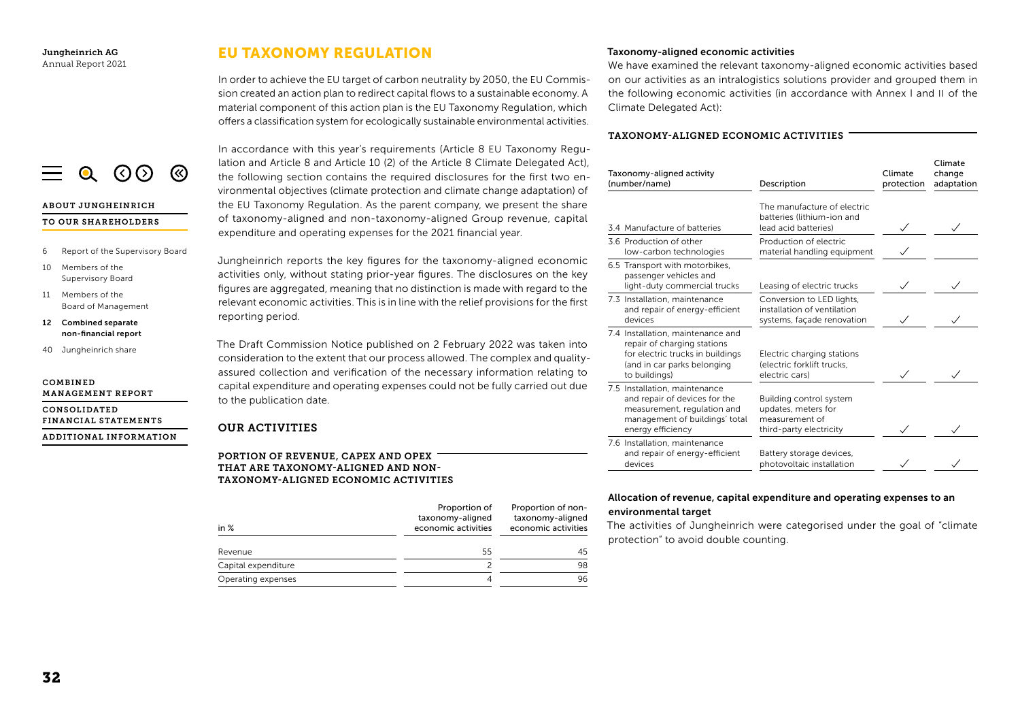ABOUT JUNGHEINRICH TO OUR SHAREHOLDERS

10 Members of the Supervisory Board 11 Members of the

COMBINED

6 Report of the Supervisory Board

<span id="page-20-0"></span> $\equiv$  0 (0) (8)

Board of Management 12 Combined separate non-financial report 40 Jungheinrich share

MANAGEMENT REPORT CONSOLIDATED

FINANCIAL STATEMENTS ADDITIONAL INFORMATION

# EU TAXONOMY REGULATION

In order to achieve the EU target of carbon neutrality by 2050, the EU Commission created an action plan to redirect capital flows to a sustainable economy. A material component of this action plan is the EU Taxonomy Regulation, which offers a classification system for ecologically sustainable environmental activities.

In accordance with this year's requirements (Article 8 EU Taxonomy Regulation and Article 8 and Article 10 (2) of the Article 8 Climate Delegated Act), the following section contains the required disclosures for the first two environmental objectives (climate protection and climate change adaptation) of the EU Taxonomy Regulation. As the parent company, we present the share of taxonomy-aligned and non-taxonomy-aligned Group revenue, capital expenditure and operating expenses for the 2021 financial year.

Jungheinrich reports the key figures for the taxonomy-aligned economic activities only, without stating prior-year figures. The disclosures on the key figures are aggregated, meaning that no distinction is made with regard to the relevant economic activities. This is in line with the relief provisions for the first reporting period.

The Draft Commission Notice published on 2 February 2022 was taken into consideration to the extent that our process allowed. The complex and qualityassured collection and verification of the necessary information relating to capital expenditure and operating expenses could not be fully carried out due to the publication date.

## OUR ACTIVITIES

PORTION OF REVENUE, CAPEX AND OPEX THAT ARE TAXONOMY-ALIGNED AND NON-TAXONOMY-ALIGNED ECONOMIC ACTIVITIES

| in $%$              | Proportion of<br>taxonomy-aligned<br>economic activities | Proportion of non-<br>taxonomy-aligned<br>economic activities |
|---------------------|----------------------------------------------------------|---------------------------------------------------------------|
| Revenue             | 55                                                       | 45                                                            |
| Capital expenditure |                                                          | 98                                                            |
| Operating expenses  | 4                                                        | 96                                                            |

## Taxonomy-aligned economic activities

We have examined the relevant taxonomy-aligned economic activities based on our activities as an intralogistics solutions provider and grouped them in the following economic activities (in accordance with Annex I and II of the Climate Delegated Act):

## TAXONOMY-ALIGNED ECONOMIC ACTIVITIES

| Taxonomy-aligned activity<br>(number/name)                                                                                                           | Description                                                                                 | Climate<br>protection | Climate<br>change<br>adaptation |  |
|------------------------------------------------------------------------------------------------------------------------------------------------------|---------------------------------------------------------------------------------------------|-----------------------|---------------------------------|--|
| 3.4 Manufacture of batteries                                                                                                                         | The manufacture of electric<br>batteries (lithium-ion and<br>lead acid batteries)           | $\checkmark$          |                                 |  |
| 3.6 Production of other<br>low-carbon technologies                                                                                                   | Production of electric<br>material handling equipment                                       |                       |                                 |  |
| 6.5 Transport with motorbikes,<br>passenger vehicles and<br>light-duty commercial trucks                                                             | Leasing of electric trucks                                                                  |                       |                                 |  |
| 7.3 Installation, maintenance<br>and repair of energy-efficient<br>devices                                                                           | Conversion to LED lights,<br>installation of ventilation<br>systems, façade renovation      |                       |                                 |  |
| 7.4 Installation, maintenance and<br>repair of charging stations<br>for electric trucks in buildings<br>(and in car parks belonging<br>to buildings) | Electric charging stations<br>(electric forklift trucks,<br>electric cars)                  |                       |                                 |  |
| 7.5 Installation, maintenance<br>and repair of devices for the<br>measurement, regulation and<br>management of buildings' total<br>energy efficiency | Building control system<br>updates, meters for<br>measurement of<br>third-party electricity |                       |                                 |  |
| 7.6 Installation, maintenance<br>and repair of energy-efficient<br>devices                                                                           | Battery storage devices,<br>photovoltaic installation                                       |                       |                                 |  |

## Allocation of revenue, capital expenditure and operating expenses to an environmental target

The activities of Jungheinrich were categorised under the goal of "climate protection" to avoid double counting.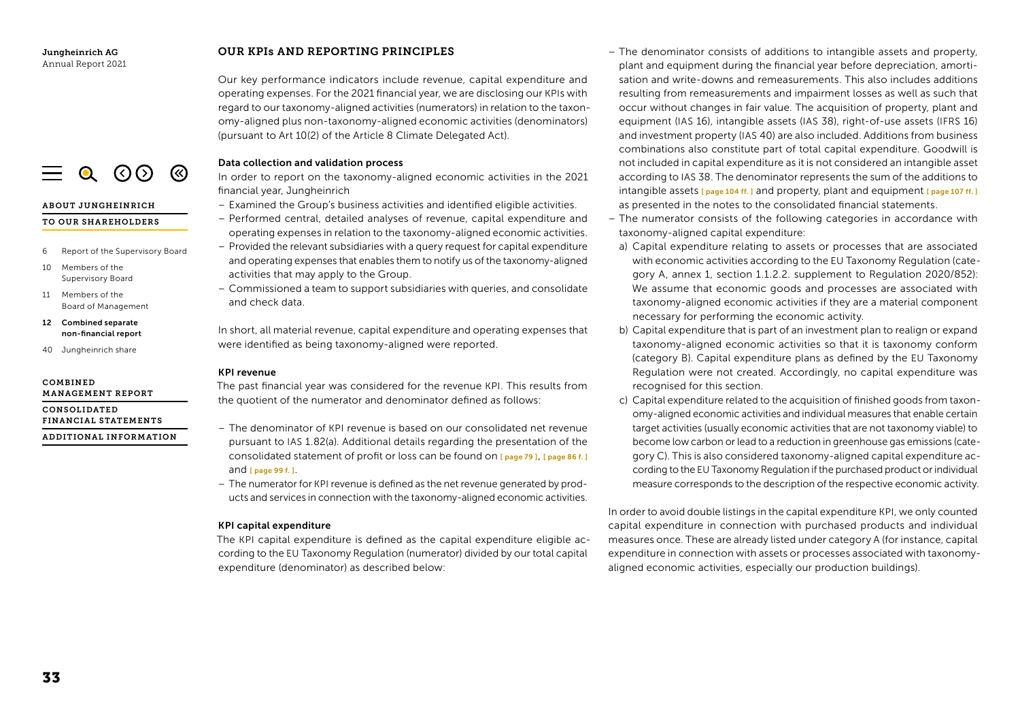## OUR KPIs AND REPORTING PRINCIPLES

Our key performance indicators include revenue, capital expenditure and operating expenses. For the 2021 financial year, we are disclosing our KPIs with regard to our taxonomy-aligned activities (numerators) in relation to the taxonomy-aligned plus non-taxonomy-aligned economic activities (denominators) (pursuant to Art 10(2) of the Article 8 Climate Delegated Act).

## Data collection and validation process

In order to report on the taxonomy-aligned economic activities in the 2021 financial year, Jungheinrich

- Examined the Group's business activities and identified eligible activities.
- Performed central, detailed analyses of revenue, capital expenditure and operating expenses in relation to the taxonomy-aligned economic activities.
- Provided the relevant subsidiaries with a query request for capital expenditure and operating expenses that enables them to notify us of the taxonomy-aligned activities that may apply to the Group.
- Commissioned a team to support subsidiaries with queries, and consolidate and check data.

In short, all material revenue, capital expenditure and operating expenses that were identified as being taxonomy-aligned were reported.

## KPI revenue

The past financial year was considered for the revenue KPI. This results from the quotient of the numerator and denominator defined as follows:

- The denominator of KPI revenue is based on our consolidated net revenue pursuant to IAS 1.82(a). Additional details regarding the presentation of the consolidated statement of profit or loss can be found on [ [page](#page--1-0) 79 ], [ [page 86 f.](#page--1-0) ] and [ page [99 f.](#page--1-0) ].
- The numerator for KPI revenue is defined as the net revenue generated by products and services in connection with the taxonomy-aligned economic activities.

## KPI capital expenditure

The KPI capital expenditure is defined as the capital expenditure eligible according to the EU Taxonomy Regulation (numerator) divided by our total capital expenditure (denominator) as described below:

- The denominator consists of additions to intangible assets and property, plant and equipment during the financial year before depreciation, amortisation and write-downs and remeasurements. This also includes additions resulting from remeasurements and impairment losses as well as such that occur without changes in fair value. The acquisition of property, plant and equipment (IAS 16), intangible assets (IAS 38), right-of-use assets (IFRS 16) and investment property (IAS 40) are also included. Additions from business combinations also constitute part of total capital expenditure. Goodwill is not included in capital expenditure as it is not considered an intangible asset according to IAS 38. The denominator represents the sum of the additions to intangible assets  $\Gamma$  [page](#page--1-0) 104 ff. ] and property, plant and equipment  $\Gamma$  page [107 ff.](#page--1-0) ] as presented in the notes to the consolidated financial statements.
- The numerator consists of the following categories in accordance with taxonomy-aligned capital expenditure:
- a) Capital expenditure relating to assets or processes that are associated with economic activities according to the EU Taxonomy Regulation (category A, annex 1, section 1.1.2.2. supplement to Regulation 2020/852): We assume that economic goods and processes are associated with taxonomy-aligned economic activities if they are a material component necessary for performing the economic activity.
- b) Capital expenditure that is part of an investment plan to realign or expand taxonomy-aligned economic activities so that it is taxonomy conform (category B). Capital expenditure plans as defined by the EU Taxonomy Regulation were not created. Accordingly, no capital expenditure was recognised for this section.
- c) Capital expenditure related to the acquisition of finished goods from taxonomy-aligned economic activities and individual measures that enable certain target activities (usually economic activities that are not taxonomy viable) to become low carbon or lead to a reduction in greenhouse gas emissions (category C). This is also considered taxonomy-aligned capital expenditure according to the EU Taxonomy Regulation if the purchased product or individual measure corresponds to the description of the respective economic activity.

In order to avoid double listings in the capital expenditure KPI, we only counted capital expenditure in connection with purchased products and individual measures once. These are already listed under category A (for instance, capital expenditure in connection with assets or processes associated with taxonomyaligned economic activities, especially our production buildings).



ADDITIONAL INFORMATION



ABOUT JUNGHEINRICH

## TO OUR SHAREHOLDERS

- 6 Report of the Supervisory Board
- 10 Members of the Supervisory Board
- 11 Members of the Board of Management
- 12 Combined separate non-financial report
- 40 Jungheinrich share

#### COMBINED MANAGEMENT REPORT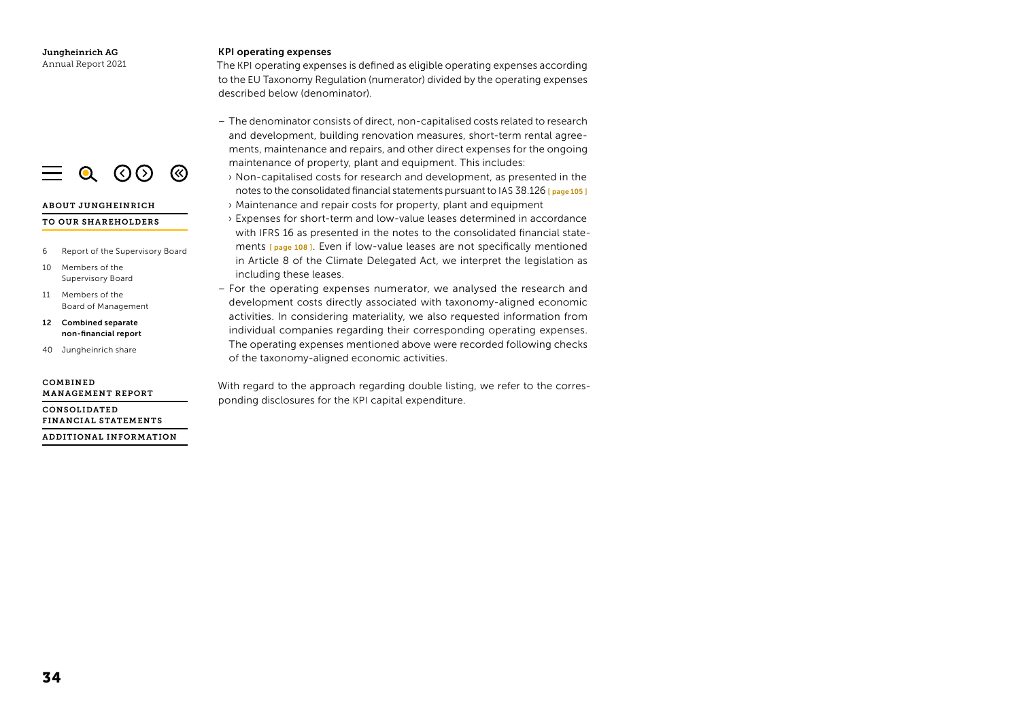#### KPI operating expenses

The KPI operating expenses is defined as eligible operating expenses according to the EU Taxonomy Regulation (numerator) divided by the operating expenses described below (denominator).

- The denominator consists of direct, non-capitalised costs related to research and development, building renovation measures, short-term rental agreements, maintenance and repairs, and other direct expenses for the ongoing maintenance of property, plant and equipment. This includes:
- ›  Non-capitalised costs for research and development, as presented in the notes to the consolidated financial statements pursuant to IAS 38.126 [ page [105 \]](#page--1-0) › Maintenance and repair costs for property, plant and equipment
- ›  Expenses for short-term and low-value leases determined in accordance with IFRS 16 as presented in the notes to the consolidated financial statements [page 108]. Even if low-value leases are not specifically mentioned in Article 8 of the Climate Delegated Act, we interpret the legislation as including these leases.
- For the operating expenses numerator, we analysed the research and development costs directly associated with taxonomy-aligned economic activities. In considering materiality, we also requested information from individual companies regarding their corresponding operating expenses. The operating expenses mentioned above were recorded following checks of the taxonomy-aligned economic activities.

With regard to the approach regarding double listing, we refer to the corresponding disclosures for the KPI capital expenditure.



#### ABOUT JUNGHEINRICH

#### TO OUR SHAREHOLDERS

- 6 Report of the Supervisory Board
- 10 Members of the Supervisory Board
- 11 Members of the Board of Management
- 12 Combined separate non-financial report
- 40 Jungheinrich share

#### COMBINED MANAGEMENT REPORT

CONSOLIDATED FINANCIAL STATEMENTS

ADDITIONAL INFORMATION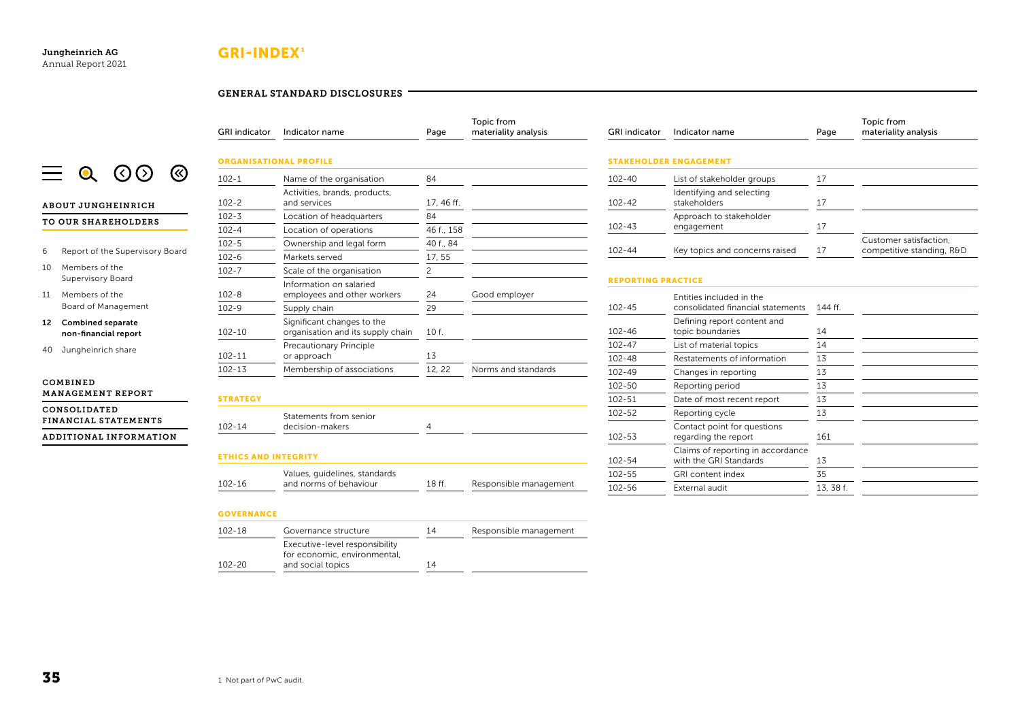# GRI-INDEX<sup>1</sup>

## GENERAL STANDARD DISCLOSURES



#### ABOUT JUNGHEINRICH

Jungheinrich AG Annual Report 2021

#### TO OUR SHAREHOLDERS

- 6 Report of the Supervisory Board
- 10 Members of the Supervisory Board
- 11 Members of the Board of Management
- 12 Combined separate non-financial report
- 40 Jungheinrich share

#### COMBINED MANAGEMENT REPORT

CONSOLIDATED FINANCIAL STATEMENTS

ADDITIONAL INFORMATION

| <b>GRI</b> indicator<br>Indicator name |                                                                 | Page           | materiality analysis   |
|----------------------------------------|-----------------------------------------------------------------|----------------|------------------------|
|                                        | <b>ORGANISATIONAL PROFILE</b>                                   |                |                        |
| $102 - 1$                              | Name of the organisation                                        | 84             |                        |
| $102 - 2$                              | Activities, brands, products,<br>and services                   | 17, 46 ff.     |                        |
| $102 - 3$                              | Location of headquarters                                        | 84             |                        |
| $102 - 4$                              | Location of operations                                          | 46 f., 158     |                        |
| $102 - 5$                              | Ownership and legal form                                        | 40 f., 84      |                        |
| $102 - 6$                              | Markets served                                                  | 17, 55         |                        |
| $102 - 7$                              | Scale of the organisation                                       | $\overline{c}$ |                        |
| $102 - 8$                              | Information on salaried<br>employees and other workers          | 24             | Good employer          |
| $102 - 9$                              | Supply chain                                                    | 29             |                        |
| $102 - 10$                             | Significant changes to the<br>organisation and its supply chain | 10 f.          |                        |
| $102 - 11$                             | Precautionary Principle<br>or approach                          | 13             |                        |
| $102 - 13$                             | Membership of associations                                      | 12, 22         | Norms and standards    |
| <b>STRATEGY</b>                        |                                                                 |                |                        |
| $102 - 14$                             | Statements from senior<br>decision-makers                       | 4              |                        |
| <b>ETHICS AND INTEGRITY</b>            |                                                                 |                |                        |
| $102 - 16$                             | Values, guidelines, standards<br>and norms of behaviour         | 18 ff.         | Responsible management |
|                                        |                                                                 |                |                        |

Topic from

#### STAKEHOLDER ENGAGEMENT 102-40 List of stakeholder groups 17 102-42 Identifying and selecting stakeholders 17 102-43 Approach to stakeholder engagement 17

Topic from materiality analysis

GRI indicator Indicator name **Page** 

| 102-44     | Key topics and concerns raised                                | 17        | Customer satisfaction.<br>competitive standing, R&D |
|------------|---------------------------------------------------------------|-----------|-----------------------------------------------------|
|            | <b>REPORTING PRACTICE</b>                                     |           |                                                     |
| $102 - 45$ | Entities included in the<br>consolidated financial statements | $144ff$ . |                                                     |
| 102-46     | Defining report content and<br>topic boundaries               | 14        |                                                     |
| 102-47     | List of material topics                                       | 14        |                                                     |
| 102-48     | Restatements of information                                   | 13        |                                                     |
| 102-49     | Changes in reporting                                          | 13        |                                                     |
| 102-50     | Reporting period                                              | 13        |                                                     |
| 102-51     | Date of most recent report                                    | 13        |                                                     |
| 102-52     | Reporting cycle                                               | 13        |                                                     |
| 102-53     | Contact point for questions<br>regarding the report           | 161       |                                                     |
| 102-54     | Claims of reporting in accordance<br>with the GRI Standards   | 13        |                                                     |
| 102-55     | GRI content index                                             | 35        |                                                     |
| 102-56     | External audit                                                | 13, 38 f. |                                                     |
|            |                                                               |           |                                                     |

## **GOVERNANCE**

| Governance structure           | 14                           | Responsible management |
|--------------------------------|------------------------------|------------------------|
| Executive-level responsibility |                              |                        |
| and social topics              | 14                           |                        |
|                                | for economic, environmental, |                        |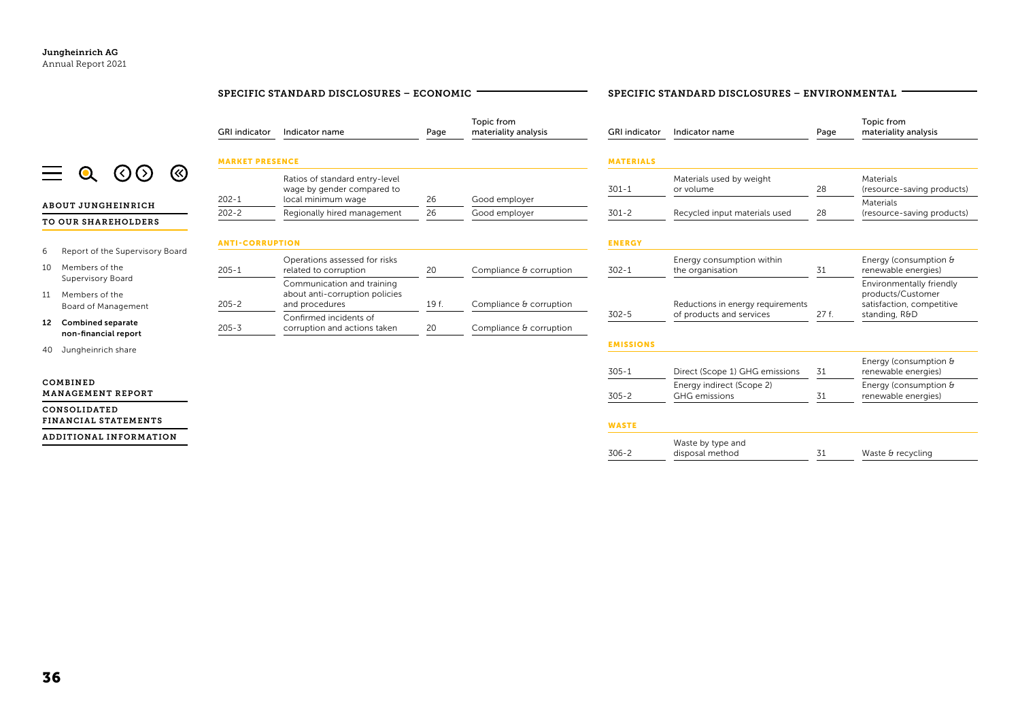|                                                                  | SPECIFIC STANDARD DISCLOSURES - ECONOMIC |                                                                                    |       | SPECIFIC STANDARD DISCLOSURES - ENVIRONMENTAL |                      |                                               |      |                                                                            |
|------------------------------------------------------------------|------------------------------------------|------------------------------------------------------------------------------------|-------|-----------------------------------------------|----------------------|-----------------------------------------------|------|----------------------------------------------------------------------------|
|                                                                  | <b>GRI</b> indicator                     | Indicator name                                                                     | Page  | Topic from<br>materiality analysis            | <b>GRI</b> indicator | Indicator name                                | Page | Topic from<br>materiality analysis                                         |
|                                                                  | <b>MARKET PRESENCE</b>                   |                                                                                    |       |                                               | <b>MATERIALS</b>     |                                               |      |                                                                            |
| ⊗<br>(く)                                                         | $202 - 1$                                | Ratios of standard entry-level<br>wage by gender compared to<br>local minimum wage | 26    | Good employer                                 | $301 - 1$            | Materials used by weight<br>or volume         | 28   | Materials<br>(resource-saving products)                                    |
| <b>ABOUT JUNGHEINRICH</b>                                        | $202 - 2$                                | Regionally hired management                                                        | 26    | Good employer                                 | $301 - 2$            | Recycled input materials used                 | 28   | Materials<br>(resource-saving products)                                    |
| TO OUR SHAREHOLDERS                                              |                                          |                                                                                    |       |                                               |                      |                                               |      |                                                                            |
|                                                                  | <b>ANTI-CORRUPTION</b>                   |                                                                                    |       |                                               | <b>ENERGY</b>        |                                               |      |                                                                            |
| Report of the Supervisory Board<br>6<br>Members of the<br>10     | $205 - 1$                                | Operations assessed for risks<br>related to corruption                             | 20    | Compliance & corruption                       | $302 - 1$            | Energy consumption within<br>the organisation | 31   | Energy (consumption &<br>renewable energies)                               |
| Supervisory Board<br>Members of the<br>11<br>Board of Management | $205 - 2$                                | Communication and training<br>about anti-corruption policies<br>and procedures     | 19 f. | Compliance & corruption                       |                      | Reductions in energy requirements             |      | Environmentally friendly<br>products/Customer<br>satisfaction, competitive |
| 12 Combined separate<br>non-financial report                     | $205 - 3$                                | Confirmed incidents of<br>corruption and actions taken                             | 20    | Compliance & corruption                       | $302 - 5$            | of products and services                      | 27f. | standing, R&D                                                              |
| Jungheinrich share<br>40                                         |                                          |                                                                                    |       |                                               | <b>EMISSIONS</b>     |                                               |      |                                                                            |
|                                                                  |                                          |                                                                                    |       |                                               | $305 - 1$            | Direct (Scope 1) GHG emissions                | 31   | Energy (consumption &<br>renewable energies)                               |
| COMBINED<br>MANAGEMENT REPORT                                    |                                          |                                                                                    |       |                                               | $305 - 2$            | Energy indirect (Scope 2)<br>GHG emissions    | 31   | Energy (consumption &<br>renewable energies)                               |
| CONSOLIDATED<br>FINANCIAL STATEMENTS                             |                                          |                                                                                    |       |                                               | <b>WASTE</b>         |                                               |      |                                                                            |
| ADDITIONAL INFORMATION                                           |                                          |                                                                                    |       |                                               | $306 - 2$            | Waste by type and<br>disposal method          | 31   | Waste & recycling                                                          |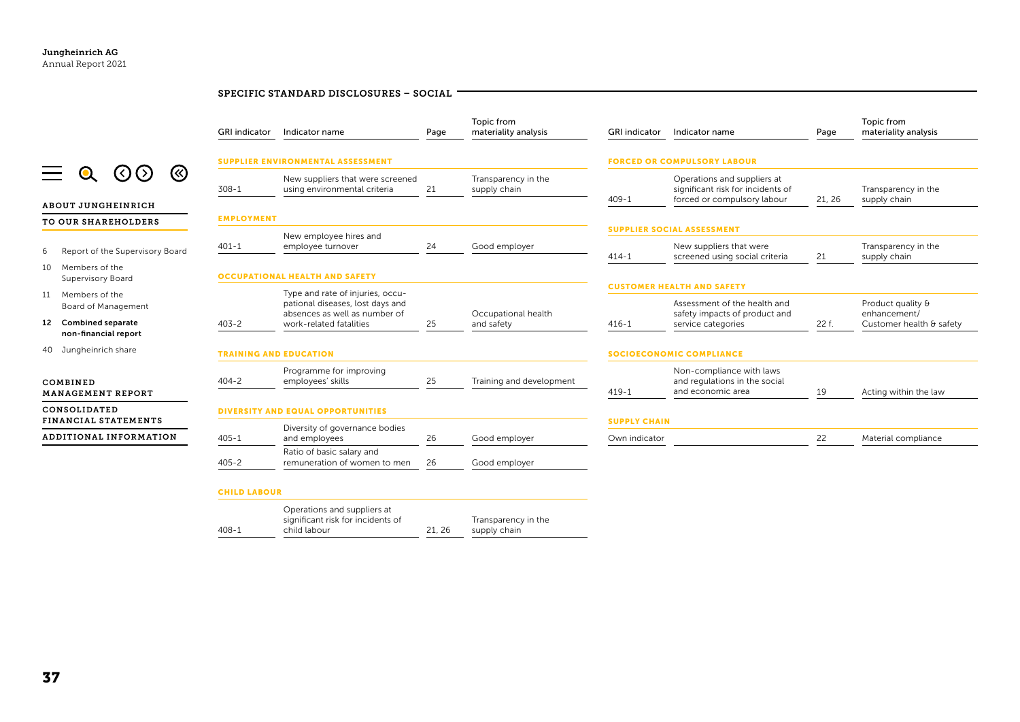|                                                  |                      | SPECIFIC STANDARD DISCLOSURES - SOCIAL                               |      |                                     |                                 |                                                                                                    |        |                                     |
|--------------------------------------------------|----------------------|----------------------------------------------------------------------|------|-------------------------------------|---------------------------------|----------------------------------------------------------------------------------------------------|--------|-------------------------------------|
|                                                  | <b>GRI</b> indicator | Indicator name                                                       | Page | Topic from<br>materiality analysis  | <b>GRI</b> indicator            | Indicator name                                                                                     | Page   | Topic from<br>materiality analysis  |
|                                                  |                      | <b>SUPPLIER ENVIRONMENTAL ASSESSMENT</b>                             |      |                                     |                                 | <b>FORCED OR COMPULSORY LABOUR</b>                                                                 |        |                                     |
| ⊗<br>(く)                                         | $308 - 1$            | New suppliers that were screened<br>using environmental criteria     | 21   | Transparency in the<br>supply chain | $409 - 1$                       | Operations and suppliers at<br>significant risk for incidents of<br>forced or compulsory labour    | 21, 26 | Transparency in the<br>supply chain |
| <b>ABOUT JUNGHEINRICH</b><br>TO OUR SHAREHOLDERS | <b>EMPLOYMENT</b>    |                                                                      |      |                                     |                                 |                                                                                                    |        |                                     |
|                                                  |                      | New employee hires and                                               |      |                                     |                                 | <b>SUPPLIER SOCIAL ASSESSMENT</b>                                                                  |        |                                     |
| Report of the Supervisory Board                  | $401 - 1$            | employee turnover                                                    | 24   | Good employer                       | $414 - 1$                       | New suppliers that were<br>screened using social criteria                                          | 21     | Transparency in the<br>supply chain |
| Members of the<br>Supervisory Board              |                      | <b>OCCUPATIONAL HEALTH AND SAFETY</b>                                |      |                                     |                                 |                                                                                                    |        |                                     |
| Members of the<br>Board of Management            |                      | Type and rate of injuries, occu-<br>pational diseases, lost days and |      | Occupational health                 |                                 | <b>CUSTOMER HEALTH AND SAFETY</b><br>Assessment of the health and<br>safety impacts of product and |        | Product quality &<br>enhancement/   |
| 12 Combined separate<br>non-financial report     | $403 - 2$            | absences as well as number of<br>work-related fatalities             | 25   | and safety                          | $416 - 1$                       | service categories                                                                                 | 22 f.  | Customer health & safety            |
| 40 Jungheinrich share                            |                      | <b>TRAINING AND EDUCATION</b>                                        |      |                                     | <b>SOCIOECONOMIC COMPLIANCE</b> |                                                                                                    |        |                                     |
| COMBINED                                         | $404 - 2$            | Programme for improving<br>employees' skills                         | 25   | Training and development            | $419-1$                         | Non-compliance with laws<br>and regulations in the social<br>and economic area                     | 19     | Acting within the law               |
| <b>MANAGEMENT REPORT</b>                         |                      |                                                                      |      |                                     |                                 |                                                                                                    |        |                                     |
| CONSOLIDATED                                     |                      | <b>DIVERSITY AND EQUAL OPPORTUNITIES</b>                             |      |                                     |                                 |                                                                                                    |        |                                     |
| FINANCIAL STATEMENTS                             |                      | Diversity of governance bodies                                       |      |                                     | <b>SUPPLY CHAIN</b>             |                                                                                                    |        |                                     |
| ADDITIONAL INFORMATION                           | $405 - 1$            | and employees                                                        | 26   | Good employer                       | Own indicator                   |                                                                                                    | 22     | Material compliance                 |
|                                                  | $405 - 2$            | Ratio of basic salary and<br>remuneration of women to men            | 26   | Good employer                       |                                 |                                                                                                    |        |                                     |
|                                                  | <b>CHILD LABOUR</b>  |                                                                      |      |                                     |                                 |                                                                                                    |        |                                     |
|                                                  |                      |                                                                      |      |                                     |                                 |                                                                                                    |        |                                     |

Transparency in the supply chain

408-1

Operations and suppliers at significant risk for incidents of

child labour 21, 26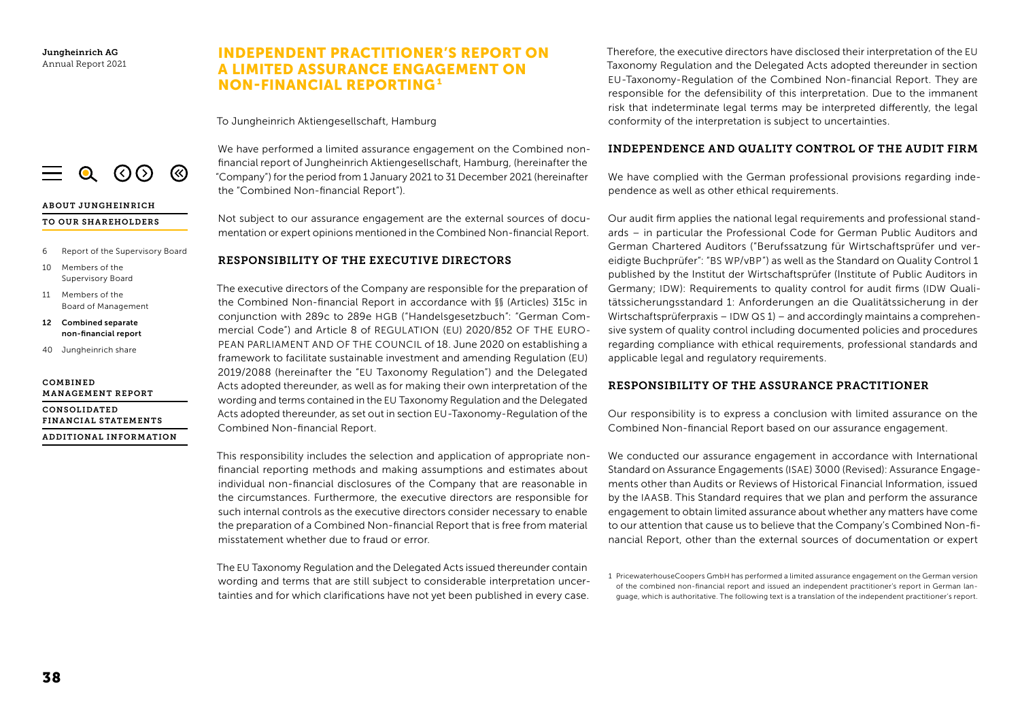# INDEPENDENT PRACTITIONER'S REPORT ON A LIMITED ASSURANCE ENGAGEMENT ON NON-FINANCIAL REPORTING<sup>1</sup>

To Jungheinrich Aktiengesellschaft, Hamburg



#### ABOUT JUNGHEINRICH

#### TO OUR SHAREHOLDERS

- 6 Report of the Supervisory Board
- 10 Members of the Supervisory Board
- 11 Members of the Board of Management
- 12 Combined separate non-financial report
- 40 Jungheinrich share

#### COMBINED MANAGEMENT REPORT

CONSOLIDATED FINANCIAL STATEMENTS ADDITIONAL INFORMATION

## We have performed a limited assurance engagement on the Combined nonfinancial report of Jungheinrich Aktiengesellschaft, Hamburg, (hereinafter the "Company") for the period from 1 January 2021 to 31 December 2021 (hereinafter the "Combined Non-financial Report").

Not subject to our assurance engagement are the external sources of documentation or expert opinions mentioned in the Combined Non-financial Report.

## RESPONSIBILITY OF THE EXECUTIVE DIRECTORS

The executive directors of the Company are responsible for the preparation of the Combined Non-financial Report in accordance with §§ (Articles) 315c in conjunction with 289c to 289e HGB ("Handelsgesetzbuch": "German Commercial Code") and Article 8 of REGULATION (EU) 2020/852 OF THE EURO-PEAN PARLIAMENT AND OF THE COUNCIL of 18. June 2020 on establishing a framework to facilitate sustainable investment and amending Regulation (EU) 2019/2088 (hereinafter the "EU Taxonomy Regulation") and the Delegated Acts adopted thereunder, as well as for making their own interpretation of the wording and terms contained in the EU Taxonomy Regulation and the Delegated Acts adopted thereunder, as set out in section EU-Taxonomy-Regulation of the Combined Non-financial Report.

This responsibility includes the selection and application of appropriate nonfinancial reporting methods and making assumptions and estimates about individual non-financial disclosures of the Company that are reasonable in the circumstances. Furthermore, the executive directors are responsible for such internal controls as the executive directors consider necessary to enable the preparation of a Combined Non-financial Report that is free from material misstatement whether due to fraud or error.

The EU Taxonomy Regulation and the Delegated Acts issued thereunder contain wording and terms that are still subject to considerable interpretation uncertainties and for which clarifications have not yet been published in every case.

Therefore, the executive directors have disclosed their interpretation of the EU Taxonomy Regulation and the Delegated Acts adopted thereunder in section EU-Taxonomy-Regulation of the Combined Non-financial Report. They are responsible for the defensibility of this interpretation. Due to the immanent risk that indeterminate legal terms may be interpreted differently, the legal conformity of the interpretation is subject to uncertainties.

## INDEPENDENCE AND QUALITY CONTROL OF THE AUDIT FIRM

We have complied with the German professional provisions regarding independence as well as other ethical requirements.

Our audit firm applies the national legal requirements and professional standards – in particular the Professional Code for German Public Auditors and German Chartered Auditors ("Berufssatzung für Wirtschaftsprüfer und vereidigte Buchprüfer": "BS WP/vBP") as well as the Standard on Quality Control 1 published by the Institut der Wirtschaftsprüfer (Institute of Public Auditors in Germany; IDW): Requirements to quality control for audit firms (IDW Qualitätssicherungsstandard 1: Anforderungen an die Qualitätssicherung in der Wirtschaftsprüferpraxis – IDW QS 1) – and accordingly maintains a comprehensive system of quality control including documented policies and procedures regarding compliance with ethical requirements, professional standards and applicable legal and regulatory requirements.

## RESPONSIBILITY OF THE ASSURANCE PRACTITIONER

Our responsibility is to express a conclusion with limited assurance on the Combined Non-financial Report based on our assurance engagement.

We conducted our assurance engagement in accordance with International Standard on Assurance Engagements (ISAE) 3000 (Revised): Assurance Engagements other than Audits or Reviews of Historical Financial Information, issued by the IAASB. This Standard requires that we plan and perform the assurance engagement to obtain limited assurance about whether any matters have come to our attention that cause us to believe that the Company's Combined Non-financial Report, other than the external sources of documentation or expert

<sup>1</sup> PricewaterhouseCoopers GmbH has performed a limited assurance engagement on the German version of the combined non-financial report and issued an independent practitioner's report in German language, which is authoritative. The following text is a translation of the independent practitioner's report.